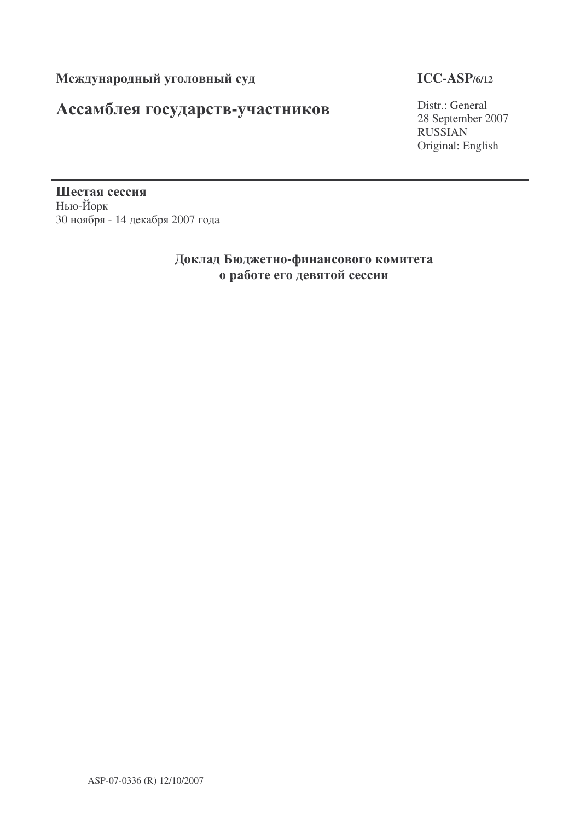# Ассамблея государств-участников

## **ICC-ASP/6/12**

Distr.: General 28 September 2007 RUSSIAN Original: English

Шестая сессия Нью-Йорк 30 ноября - 14 декабря 2007 года

## Доклад Бюджетно-финансового комитета о работе его девятой сессии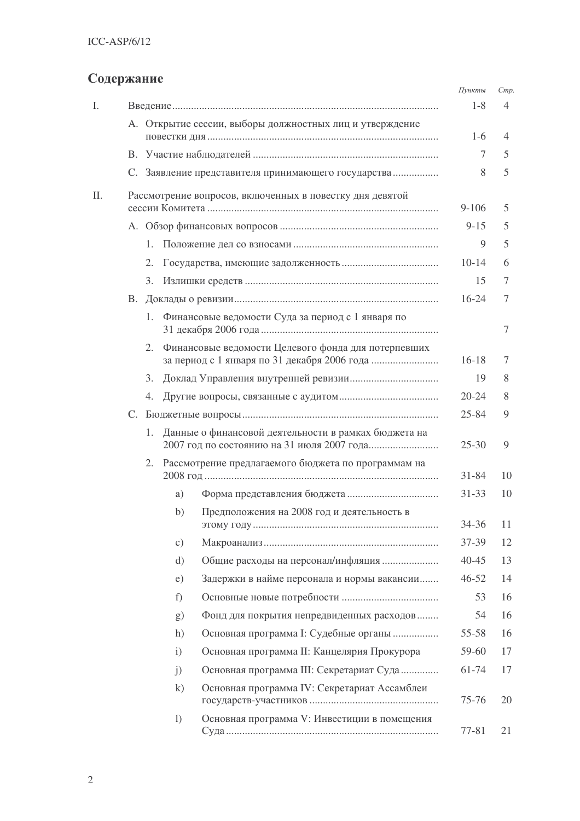# Содержание

|    |           |                                                           |                  |                                                          | Пункты    | Cmp.           |
|----|-----------|-----------------------------------------------------------|------------------|----------------------------------------------------------|-----------|----------------|
| Ι. |           |                                                           |                  |                                                          | $1 - 8$   | $\overline{4}$ |
|    |           |                                                           |                  | А. Открытие сессии, выборы должностных лиц и утверждение | $1-6$     | 4              |
|    |           |                                                           |                  |                                                          | 7         | 5              |
|    |           |                                                           |                  | С. Заявление представителя принимающего государства      | 8         | 5              |
| Π. |           |                                                           |                  | Рассмотрение вопросов, включенных в повестку дня девятой |           |                |
|    |           |                                                           |                  |                                                          | $9 - 106$ | 5              |
|    |           |                                                           | $9 - 15$         | 5                                                        |           |                |
|    |           | 1.                                                        |                  |                                                          | 9         | 5              |
|    |           | 2.                                                        |                  |                                                          | $10-14$   | 6              |
|    |           | 3.                                                        |                  |                                                          | 15        | 7              |
|    | <b>B.</b> |                                                           |                  |                                                          | $16 - 24$ | 7              |
|    |           | 1.                                                        |                  | Финансовые ведомости Суда за период с 1 января по        |           | 7              |
|    |           | 2.                                                        |                  | Финансовые ведомости Целевого фонда для потерпевших      | $16 - 18$ | 7              |
|    |           | 3.                                                        |                  |                                                          | 19        | 8              |
|    |           | 4.                                                        |                  |                                                          | $20 - 24$ | 8              |
|    |           |                                                           |                  |                                                          | $25 - 84$ | 9              |
|    |           | 1.                                                        |                  | Данные о финансовой деятельности в рамках бюджета на     | $25 - 30$ | 9              |
|    |           | Рассмотрение предлагаемого бюджета по программам на<br>2. |                  |                                                          |           |                |
|    |           |                                                           | a)               |                                                          | $31 - 33$ | 10             |
|    |           |                                                           | b)               | Предположения на 2008 год и деятельность в               | 34-36     | 11             |
|    |           |                                                           | $\circ$ )        |                                                          | 37-39     | 12             |
|    |           |                                                           | $\mathrm{d}$     | Общие расходы на персонал/инфляция                       | 40-45     | 13             |
|    |           |                                                           | e)               | Задержки в найме персонала и нормы вакансии              | $46 - 52$ | 14             |
|    |           |                                                           | f)               |                                                          | 53        | 16             |
|    |           |                                                           | g)               | Фонд для покрытия непредвиденных расходов                | 54        | 16             |
|    |           |                                                           | h)               | Основная программа І: Судебные органы                    | 55-58     | 16             |
|    |           |                                                           | $\mathbf{i}$     | Основная программа II: Канцелярия Прокурора              | 59-60     | 17             |
|    |           |                                                           | $\mathbf{j}$     | Основная программа III: Секретариат Суда                 | 61-74     | 17             |
|    |           |                                                           | $\mathbf{k}$     | Основная программа IV: Секретариат Ассамблеи             | 75-76     | 20             |
|    |           |                                                           | $\left( \right)$ | Основная программа V: Инвестиции в помещения             | 77-81     | 21             |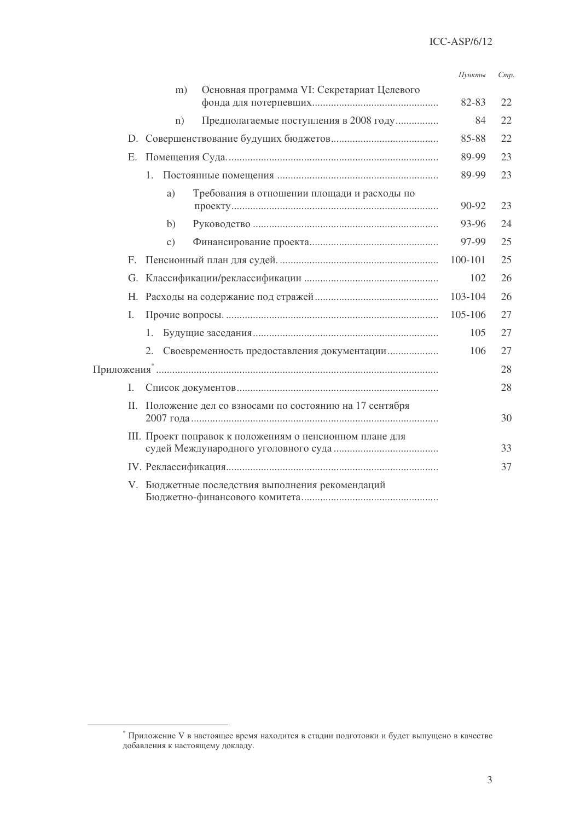#### Cmp. Пункты

|             | Основная программа VI: Секретариат Целевого<br>m)      |         |    |
|-------------|--------------------------------------------------------|---------|----|
|             |                                                        | 82-83   | 22 |
|             | Предполагаемые поступления в 2008 году<br>n)           | 84      | 22 |
|             |                                                        | 85-88   | 22 |
| E.          |                                                        | 89-99   | 23 |
|             | $1_{\cdot}$                                            | 89-99   | 23 |
|             | a)<br>Требования в отношении площади и расходы по      | 90-92   | 23 |
|             | b)                                                     | 93-96   | 24 |
|             | $\mathcal{C}$ )                                        | 97-99   | 25 |
| $F_{\cdot}$ |                                                        | 100-101 | 25 |
|             |                                                        | 102     | 26 |
|             |                                                        | 103-104 | 26 |
| Ι.          |                                                        | 105-106 | 27 |
|             | 1.                                                     | 105     | 27 |
|             | 2.<br>Своевременность предоставления документации      | 106     | 27 |
|             |                                                        |         | 28 |
| I.          |                                                        |         | 28 |
| П.          | Положение дел со взносами по состоянию на 17 сентября  |         | 30 |
|             | Ш. Проект поправок к положениям о пенсионном плане для |         | 33 |
|             |                                                        |         | 37 |
|             | V. Бюджетные последствия выполнения рекомендаций       |         |    |

 $^\ast$ Приложение V в настоящее время находится в стадии подготовки и будет выпущено в качестве добавления к настоящему докладу.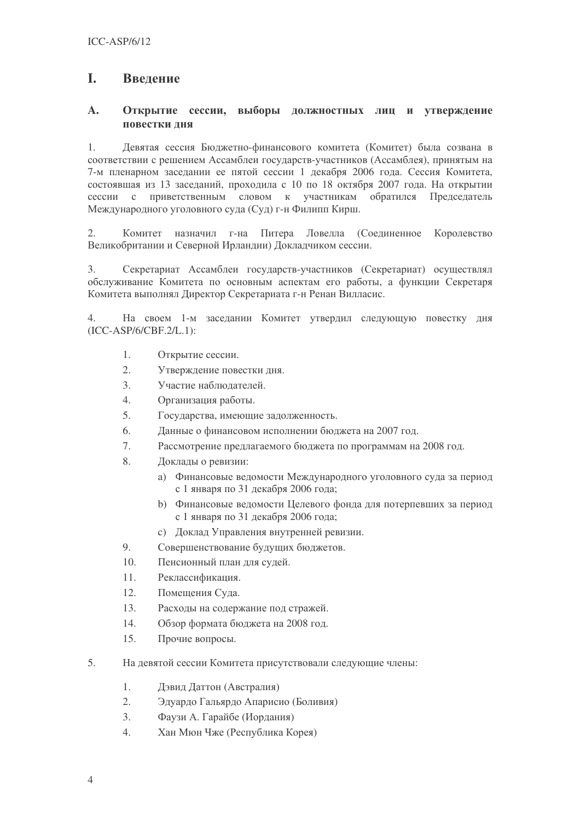#### L Ввеление

#### $\mathbf{A}$ . Открытие сессии, выборы должностных лиц и утверждение повестки лня

Девятая сессия Бюджетно-финансового комитета (Комитет) была созвана в  $1_{-}$ соответствии с решением Ассамблеи государств-участников (Ассамблея), принятым на 7-м пленарном заседании ее пятой сессии 1 декабря 2006 года. Сессия Комитета, состоявшая из 13 заседаний, проходила с 10 по 18 октября 2007 года. На открытии сессии с приветственным словом к участникам обратился Председатель Международного уголовного суда (Суд) г-н Филипп Кирш.

Комитет назначил г-на Питера Ловелла (Соединенное  $2.$ Королевство Великобритании и Северной Ирландии) Докладчиком сессии.

Секретариат Ассамблеи государств-участников (Секретариат) осуществлял  $\overline{3}$ . обслуживание Комитета по основным аспектам его работы, а функции Секретаря Комитета выполнял Директор Секретариата г-н Ренан Вилласис.

 $\overline{4}$ На своем 1-м заседании Комитет утвердил следующую повестку дня  $(ICC-ASP/6/CBF.2/L.1):$ 

- $\overline{1}$ . Открытие сессии.
- $\overline{2}$ . Утверждение повестки дня.
- $3.$ Участие наблюдателей.
- $\overline{4}$ . Организация работы.
- $\overline{5}$ . Государства, имеющие задолженность.
- 6. Данные о финансовом исполнении бюджета на 2007 год.
- $7.$ Рассмотрение предлагаемого бюджета по программам на 2008 год.
- 8. Доклады о ревизии:
	- Финансовые ведомости Международного уголовного суда за период  $a)$ с 1 января по 31 декабря 2006 года;
	- $h)$ Финансовые ведомости Целевого фонда для потерпевших за период с 1 января по 31 декабря 2006 года;
	- с) Локлад Управления внутренней ревизии.
- 9. Совершенствование будущих бюджетов.
- $10<sup>-10</sup>$ Пенсионный план для судей.
- $11.$ Реклассификация.
- $12.$ Помещения Суда.
- $13.$ Расходы на содержание под стражей.
- 14. Обзор формата бюджета на 2008 год.
- $15$ Прочие вопросы.
- $\overline{5}$ . На левятой сессии Комитета присутствовали следующие члены:
	- $1.$ Дэвид Даттон (Австралия)
	- $2^{\circ}$ Эдуардо Гальярдо Апарисио (Боливия)
	- $\overline{3}$ . Фаузи А. Гарайбе (Иордания)
	- $\overline{4}$ Хан Мюн Чже (Республика Корея)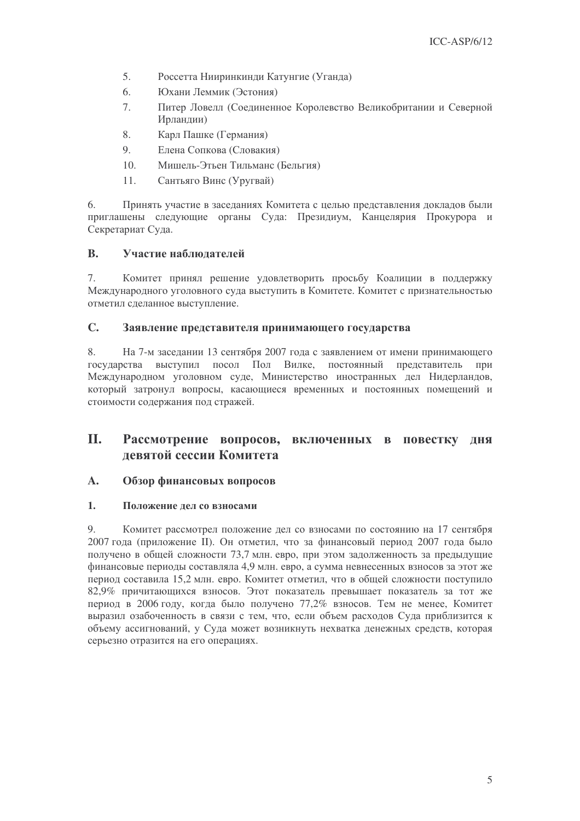- 5. Россетта Нииринкинди Катунгие (Уганда)
- 6. Юхани Леммик (Эстония)
- $7<sup>1</sup>$ Питер Ловелл (Соелиненное Королевство Великобритании и Северной Ирландии)
- 8. Карл Пашке (Германия)
- $\mathbf{Q}$ Елена Сопкова (Словакия)
- $10.$ Мишель-Этьен Тильманс (Бельгия)
- $11.$ Сантьяго Винс (Уругвай)

6. Принять участие в заседаниях Комитета с целью представления докладов были приглашены следующие органы Суда: Президиум, Канцелярия Прокурора и Секретариат Суда.

#### $\mathbf{B}$ . Участие наблюдателей

7. Комитет принял решение удовлетворить просьбу Коалиции в поддержку Международного уголовного суда выступить в Комитете. Комитет с признательностью отметил сделанное выступление.

#### $\mathbb{C}$ Заявление представителя принимающего государства

8. На 7-м заседании 13 сентября 2007 года с заявлением от имени принимающего государства выступил посол Пол Вилке, постоянный представитель при Международном уголовном суде, Министерство иностранных дел Нидерландов, который затронул вопросы, касающиеся временных и постоянных помещений и стоимости содержания под стражей.

### II. Рассмотрение вопросов, включенных в повестку дня левятой сессии Комитета

#### $\mathbf{A}$ . Обзор финансовых вопросов

#### $\mathbf{1}$ . Положение дел со взносами

 $\overline{Q}$ Комитет рассмотрел положение дел со взносами по состоянию на 17 сентября 2007 года (приложение II). Он отметил, что за финансовый период 2007 года было получено в общей сложности 73,7 млн. евро, при этом задолженность за предыдущие финансовые периоды составляла 4,9 млн. евро, а сумма невнесенных взносов за этот же период составила 15,2 млн. евро. Комитет отметил, что в общей сложности поступило 82,9% причитающихся взносов. Этот показатель превышает показатель за тот же период в 2006 году, когда было получено 77,2% взносов. Тем не менее, Комитет выразил озабоченность в связи с тем, что, если объем расходов Суда приблизится к объему ассигнований, у Суда может возникнуть нехватка денежных средств, которая серьезно отразится на его операциях.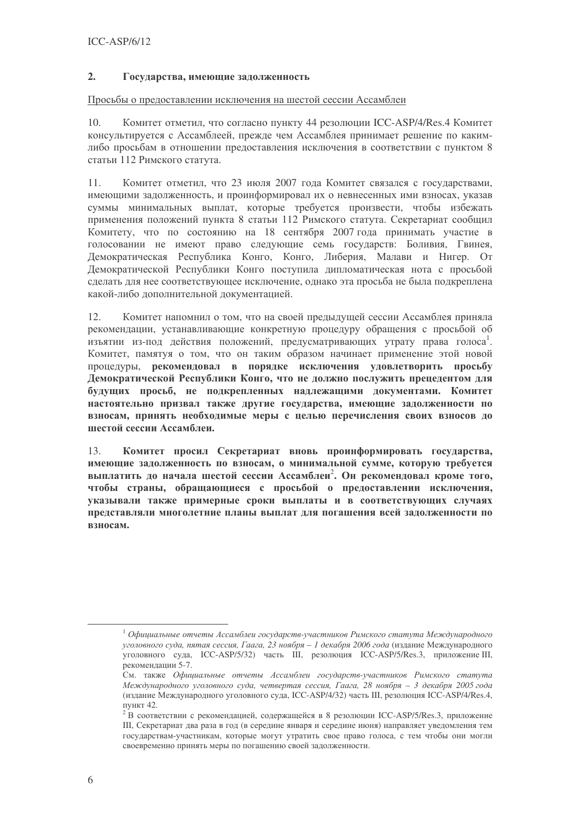#### $2.$ Государства, имеющие задолженность

### Просьбы о предоставлении исключения на шестой сессии Ассамблеи

Комитет отметил, что согласно пункту 44 резолюции ICC-ASP/4/Res.4 Комитет 10. консультируется с Ассамблеей, прежде чем Ассамблея принимает решение по какимлибо просьбам в отношении предоставления исключения в соответствии с пунктом 8 статьи 112 Римского статута.

Комитет отметил, что 23 июля 2007 года Комитет связался с государствами,  $11.$ имеющими задолженность, и проинформировал их о невнесенных ими взносах, указав суммы минимальных выплат, которые требуется произвести, чтобы избежать применения положений пункта 8 статьи 112 Римского статута. Секретариат сообщил Комитету, что по состоянию на 18 сентября 2007 года принимать участие в голосовании не имеют право следующие семь государств: Боливия, Гвинея, Демократическая Республика Конго, Конго, Либерия, Малави и Нигер. От Демократической Республики Конго поступила дипломатическая нота с просьбой сделать для нее соответствующее исключение, однако эта просьба не была подкреплена какой-либо дополнительной документацией.

 $12<sup>°</sup>$ Комитет напомнил о том, что на своей предыдущей сессии Ассамблея приняла рекомендации, устанавливающие конкретную процедуру обращения с просьбой об изъятии из-под действия положений, предусматривающих утрату права голоса<sup>1</sup>. Комитет, памятуя о том, что он таким образом начинает применение этой новой процедуры, рекомендовал в порядке исключения удовлетворить просьбу Демократической Республики Конго, что не должно послужить прецедентом для булуших просьб, не полкрепленных наллежащими локументами. Комитет настоятельно призвал также другие государства, имеющие задолженности по взносам, принять необходимые меры с целью перечисления своих взносов до шестой сессии Ассамблеи.

Комитет просил Секретариат вновь проинформировать государства, 13. имеющие задолженность по взносам, о минимальной сумме, которую требуется выплатить до начала шестой сессии Ассамблеи<sup>2</sup>. Он рекомендовал кроме того, чтобы страны, обращающиеся с просьбой о предоставлении исключения, указывали также примерные сроки выплаты и в соответствующих случаях представляли многолетние планы выплат для погашения всей задолженности по взносам.

 $^{-1}$ Официальные отчеты Ассамблеи государств-участников Римского статута Международного уголовного суда, пятая сессия, Гаага, 23 ноября - 1 декабря 2006 года (издание Международного уголовного суда, ICC-ASP/5/32) часть III, резолюция ICC-ASP/5/Res.3, приложение III, рекомендации 5-7.

См. также Официальные отчеты Ассамблеи государств-участников Римского статута Международного уголовного суда, четвертая сессия, Гаага, 28 ноября - 3 декабря 2005 года (издание Международного уголовного суда, ICC-ASP/4/32) часть III, резолюция ICC-ASP/4/Res.4, пункт 42.

<sup>&</sup>lt;sup>2</sup> В соответствии с рекомендацией, содержащейся в 8 резолюции ICC-ASP/5/Res.3, приложение III, Секретариат два раза в год (в середине января и середине июня) направляет уведомления тем государствам-участникам, которые могут утратить свое право голоса, с тем чтобы они могли своевременно принять меры по погашению своей задолженности.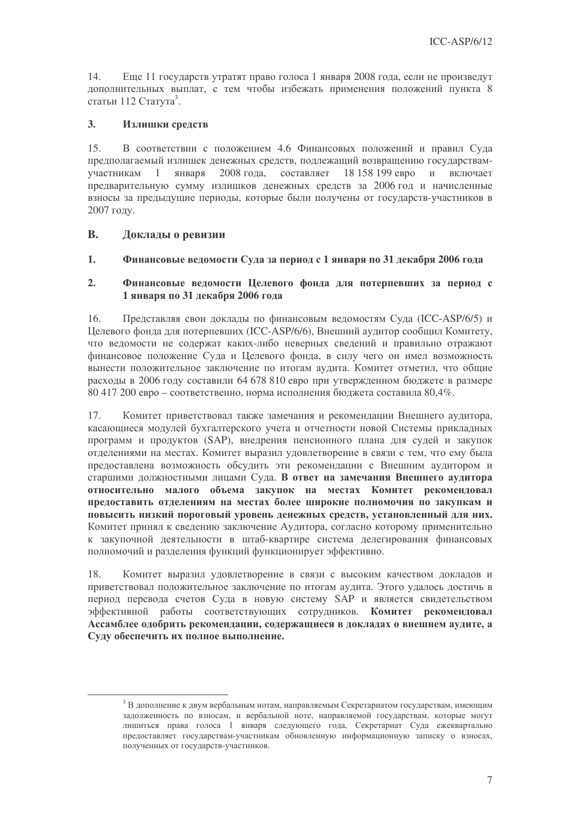14. Еще 11 государств утратят право голоса 1 января 2008 года, если не произведут дополнительных выплат, с тем чтобы избежать применения положений пункта 8 статьи 112 Статута<sup>3</sup>.

#### $3.$ Излишки средств

В соответствии с положением 4.6 Финансовых положений и правил Суда  $15.$ предполагаемый излишек денежных средств, подлежащий возвращению государствамянваря 2008 года, составляет 18 158 199 евро и включает участникам  $\overline{1}$ предварительную сумму излишков денежных средств за 2006 год и начисленные взносы за предыдущие периоды, которые были получены от государств-участников в 2007 голу.

#### $\mathbf{B}$ . Локлалы о ревизии

 $1<sub>1</sub>$ Финансовые ведомости Суда за период с 1 января по 31 декабря 2006 года

#### $2.$ Финансовые веломости Пелевого фонла для потерпевших за период с 1 января по 31 лекабря 2006 гола

Представляя свои доклады по финансовым ведомостям Суда (ICC-ASP/6/5) и 16. Пелевого фонда для потерпевших (ICC-ASP/6/6), Внешний аудитор сообшил Комитету, что ведомости не содержат каких-либо неверных сведений и правильно отражают финансовое положение Суда и Целевого фонда, в силу чего он имел возможность вынести положительное заключение по итогам аудита. Комитет отметил, что общие расходы в 2006 году составили 64 678 810 евро при утвержденном бюджете в размере 80 417 200 евро – соответственно, норма исполнения бюджета составила 80,4%.

Комитет приветствовал также замечания и рекомендации Внешнего аудитора,  $17.$ касающиеся модулей бухгалтерского учета и отчетности новой Системы прикладных программ и продуктов (SAP), внедрения пенсионного плана для судей и закупок отделениями на местах. Комитет выразил удовлетворение в связи с тем, что ему была предоставлена возможность обсудить эти рекомендации с Внешним аудитором и старшими должностными лицами Суда. В ответ на замечания Внешнего аудитора относительно малого объема закупок на местах Комитет рекомендовал предоставить отделениям на местах более широкие полномочия по закупкам и повысить низкий пороговый уровень денежных средств, установленный для них. Комитет принял к сведению заключение Аудитора, согласно которому применительно к закупочной деятельности в штаб-квартире система делегирования финансовых полномочий и разделения функций функционирует эффективно.

18. Комитет выразил удовлетворение в связи с высоким качеством докладов и приветствовал положительное заключение по итогам аудита. Этого удалось достичь в период перевода счетов Суда в новую систему SAP и является свидетельством эффективной работы соответствующих сотрудников. Комитет рекомендовал Ассамблее одобрить рекомендации, содержащиеся в докладах о внешнем аудите, а Суду обеспечить их полное выполнение.

 $^3$  В дополнение к двум вербальным нотам, направляемым Секретариатом государствам, имеющим задолженность по взносам, и вербальной ноте, направляемой государствам, которые могут лишиться права голоса 1 января следующего года, Секретариат Суда ежеквартально предоставляет государствам-участникам обновленную информационную записку о взносах, полученных от государств-участников.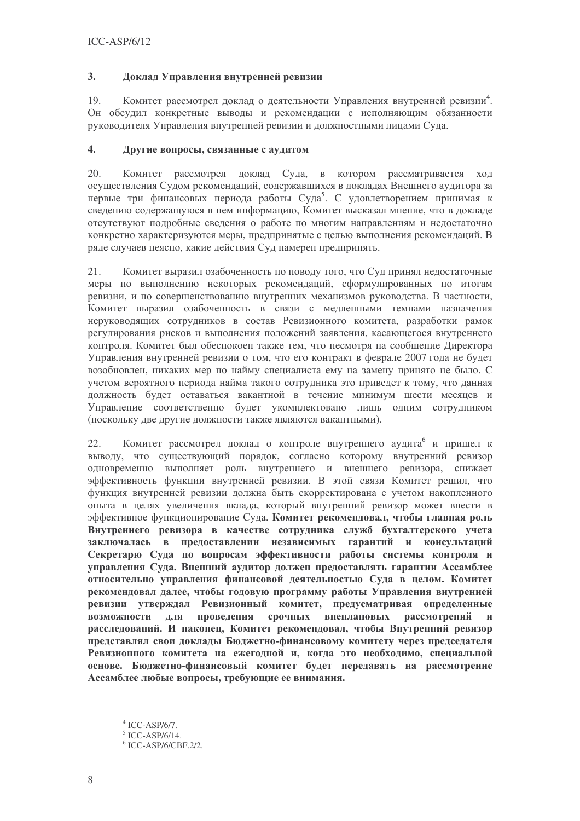#### $3.$ Доклад Управления внутренней ревизии

19 Комитет рассмотрел доклад о деятельности Управления внутренней ревизии<sup>4</sup>. Он обсудил конкретные выводы и рекомендации с исполняющим обязанности руководителя Управления внутренней ревизии и должностными лицами Суда.

#### $\overline{4}$ . Другие вопросы, связанные с аудитом

 $20<sup>1</sup>$ Комитет рассмотрел доклад Суда, в котором рассматривается ход осуществления Судом рекомендаций, содержавшихся в докладах Внешнего аудитора за первые три финансовых периода работы Суда<sup>5</sup>. С удовлетворением принимая к сведению содержащуюся в нем информацию. Комитет высказал мнение, что в докладе отсутствуют подробные сведения о работе по многим направлениям и недостаточно конкретно характеризуются меры, предпринятые с целью выполнения рекомендаций. В ряде случаев неясно, какие действия Суд намерен предпринять.

21. Комитет выразил озабоченность по поводу того, что Суд принял недостаточные меры по выполнению некоторых рекомендаций, сформулированных по итогам ревизии, и по совершенствованию внутренних механизмов руководства. В частности, Комитет выразил озабоченность в связи с медленными темпами назначения неруководящих сотрудников в состав Ревизионного комитета, разработки рамок регулирования рисков и выполнения положений заявления, касающегося внутреннего контроля. Комитет был обеспокоен также тем, что несмотря на сообщение Директора Управления внутренней ревизии о том, что его контракт в феврале 2007 года не будет возобновлен, никаких мер по найму специалиста ему на замену принято не было. С учетом вероятного периода найма такого сотрудника это приведет к тому, что данная должность будет оставаться вакантной в течение минимум шести месяцев и Управление соответственно будет укомплектовано лишь одним сотрудником (поскольку две другие должности также являются вакантными).

 $22.$ Комитет рассмотрел доклад о контроле внутреннего аулита и пришел к выводу, что существующий порядок, согласно которому внутренний ревизор одновременно выполняет роль внутреннего и внешнего ревизора, снижает эффективность функции внутренней ревизии. В этой связи Комитет решил, что функция внутренней ревизии должна быть скорректирована с учетом накопленного опыта в целях увеличения вклада, который внутренний ревизор может внести в эффективное функционирование Суда. Комитет рекомендовал, чтобы главная роль Внутреннего ревизора в качестве сотрудника служб бухгалтерского учета заключалась в предоставлении независимых гарантий и консультаций Секретарю Суда по вопросам эффективности работы системы контроля и управления Суда. Внешний аудитор должен предоставлять гарантии Ассамблее относительно управления финансовой деятельностью Суда в целом. Комитет рекомендовал далее, чтобы годовую программу работы Управления внутренней ревизии утверждал Ревизионный комитет, предусматривая определенные провеления срочных внеплановых **ВОЗМОЖНОСТИ** лля рассмотрений  $\mathbf{M}$ расследований. И наконец, Комитет рекомендовал, чтобы Внутренний ревизор представлял свои доклады Бюджетно-финансовому комитету через председателя Ревизионного комитета на ежегодной и, когда это необходимо, специальной основе. Бюджетно-финансовый комитет будет передавать на рассмотрение Ассамблее любые вопросы, требующие ее внимания.

 $4$  ICC-ASP/6/7.

 $5$  ICC-ASP/6/14.

 $6$  ICC-ASP/6/CBF 2/2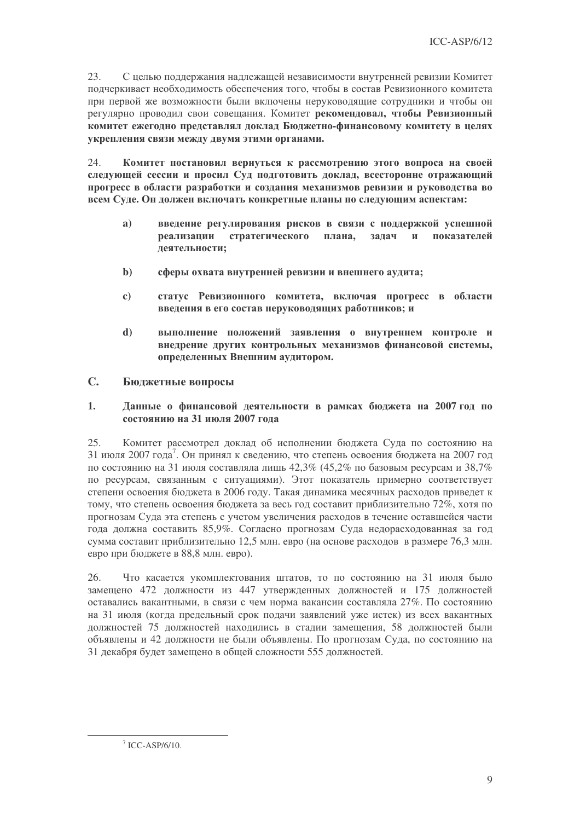23. С целью поддержания надлежащей независимости внутренней ревизии Комитет подчеркивает необходимость обеспечения того, чтобы в состав Ревизионного комитета при первой же возможности были включены неруководящие сотрудники и чтобы он регулярно проводил свои совещания. Комитет рекомендовал, чтобы Ревизионный комитет ежегодно представлял доклад Бюджетно-финансовому комитету в целях укрепления связи между двумя этими органами.

 $24$ Комитет постановил вернуться к рассмотрению этого вопроса на своей следующей сессии и просил Суд подготовить доклад, всесторонне отражающий прогресс в области разработки и создания механизмов ревизии и руководства во всем Суде. Он должен включать конкретные планы по следующим аспектам:

- введение регулирования рисков в связи с поддержкой успешной  $a)$ реализации стратегического плана. залач  $\mathbf{M}$ показателей деятельности;
- $\mathbf{b}$ сферы охвата внутренней ревизии и внешнего аудита;
- $\mathbf{c}$ статус Ревизионного комитета, включая прогресс в области введения в его состав неруководящих работников; и
- $\mathbf{d}$ выполнение положений заявления о внутреннем контроле и внедрение других контрольных механизмов финансовой системы. определенных Внешним аудитором.

#### $\mathbb{C}$ Бюджетные вопросы

#### $1<sub>1</sub>$ Данные о финансовой деятельности в рамках бюджета на 2007 год по состоянию на 31 июля 2007 года

25. Комитет рассмотрел доклад об исполнении бюджета Суда по состоянию на 31 июля 2007 года<sup>7</sup>. Он принял к сведению, что степень освоения бюджета на 2007 год по состоянию на 31 июля составляла лишь 42,3% (45,2% по базовым ресурсам и 38,7% по ресурсам, связанным с ситуациями). Этот показатель примерно соответствует степени освоения бюджета в 2006 году. Такая динамика месячных расходов приведет к тому, что степень освоения бюджета за весь год составит приблизительно 72%, хотя по прогнозам Суда эта степень с учетом увеличения расходов в течение оставшейся части года должна составить 85,9%. Согласно прогнозам Суда недорасходованная за год сумма составит приблизительно 12.5 млн. евро (на основе расходов в размере 76.3 млн. евро при бюджете в 88,8 млн. евро).

26. Что касается укомплектования штатов, то по состоянию на 31 июля было замещено 472 должности из 447 утвержденных должностей и 175 должностей оставались вакантными, в связи с чем норма вакансии составляла 27%. По состоянию на 31 июля (когда предельный срок подачи заявлений уже истек) из всех вакантных лолжностей 75 лолжностей нахолились в сталии замешения, 58 лолжностей были объявлены и 42 должности не были объявлены. По прогнозам Суда, по состоянию на 31 декабря будет замещено в общей сложности 555 должностей.

 $7$  ICC-ASP/6/10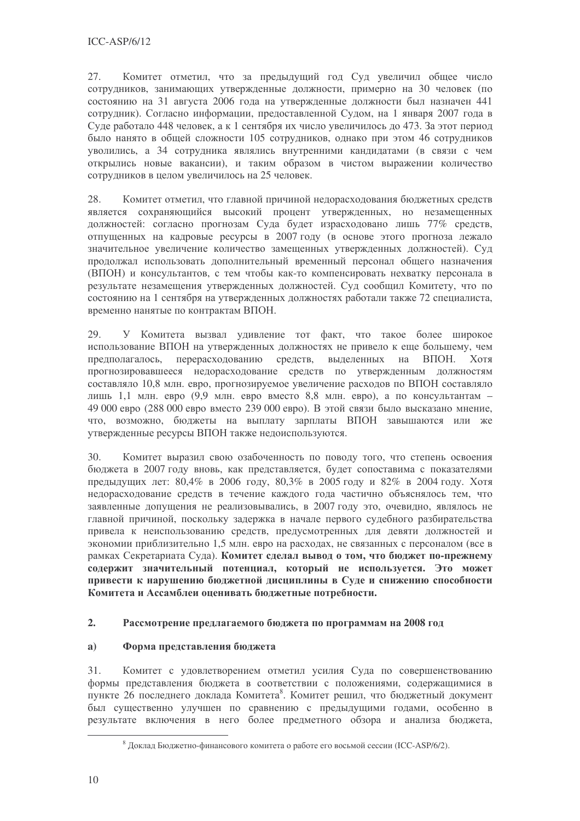27. Комитет отметил, что за предыдущий год Суд увеличил общее число сотрудников, занимающих утвержденные должности, примерно на 30 человек (по состоянию на 31 августа 2006 года на утвержденные должности был назначен 441 сотрудник). Согласно информации, предоставленной Судом, на 1 января 2007 года в Суде работало 448 человек, а к 1 сентября их число увеличилось до 473. За этот период было нанято в общей сложности 105 сотрудников, однако при этом 46 сотрудников уволились, а 34 сотрудника являлись внутренними кандидатами (в связи с чем открылись новые вакансии), и таким образом в чистом выражении количество сотрудников в целом увеличилось на 25 человек.

28. Комитет отметил, что главной причиной недорасходования бюджетных средств является сохраняющийся высокий процент утвержденных, но незамещенных должностей: согласно прогнозам Суда будет израсходовано лишь 77% средств, отпущенных на кадровые ресурсы в 2007 году (в основе этого прогноза лежало значительное увеличение количество замещенных утвержденных должностей). Суд продолжал использовать дополнительный временный персонал общего назначения (ВПОН) и консультантов, с тем чтобы как-то компенсировать нехватку персонала в результате незамещения утвержденных должностей. Суд сообщил Комитету, что по состоянию на 1 сентября на утвержденных должностях работали также 72 специалиста, временно нанятые по контрактам ВПОН.

29. У Комитета вызвал удивление тот факт, что такое более широкое использование ВПОН на утвержденных должностях не привело к еще большему, чем предполагалось, перерасходованию средств, выделенных на ВПОН. Хотя прогнозировавшееся недорасходование средств по утвержденным должностям составляло 10,8 млн. евро, прогнозируемое увеличение расходов по ВПОН составляло лишь 1,1 млн. евро (9,9 млн. евро вместо 8,8 млн. евро), а по консультантам -49 000 евро (288 000 евро вместо 239 000 евро). В этой связи было высказано мнение, что, возможно, бюджеты на выплату зарплаты ВПОН завышаются или же утвержденные ресурсы ВПОН также недоиспользуются.

 $30<sup>2</sup>$ Комитет выразил свою озабоченность по поводу того, что степень освоения бюджета в 2007 году вновь, как представляется, будет сопоставима с показателями предыдущих лет: 80,4% в 2006 году, 80,3% в 2005 году и 82% в 2004 году. Хотя недорасходование средств в течение каждого года частично объяснялось тем, что заявленные допущения не реализовывались, в 2007 году это, очевидно, являлось не главной причиной, поскольку задержка в начале первого судебного разбирательства привела к неиспользованию средств, предусмотренных для девяти должностей и экономии приблизительно 1,5 млн. евро на расходах, не связанных с персоналом (все в рамках Секретариата Суда). Комитет сделал вывод о том, что бюджет по-прежнему содержит значительный потенциал, который не используется. Это может привести к нарушению бюджетной дисциплины в Суде и снижению способности Комитета и Ассамблеи оценивать бюджетные потребности.

#### $2.$ Рассмотрение предлагаемого бюджета по программам на 2008 год

#### $a)$ Форма представления бюджета

31. Комитет с удовлетворением отметил усилия Суда по совершенствованию формы представления бюджета в соответствии с положениями, содержащимися в пункте 26 последнего доклада Комитета<sup>8</sup>. Комитет решил, что бюджетный документ был существенно улучшен по сравнению с предыдущими годами, особенно в результате включения в него более предметного обзора и анализа бюджета,

<sup>&</sup>lt;sup>8</sup> Доклад Бюджетно-финансового комитета о работе его восьмой сессии (ICC-ASP/6/2).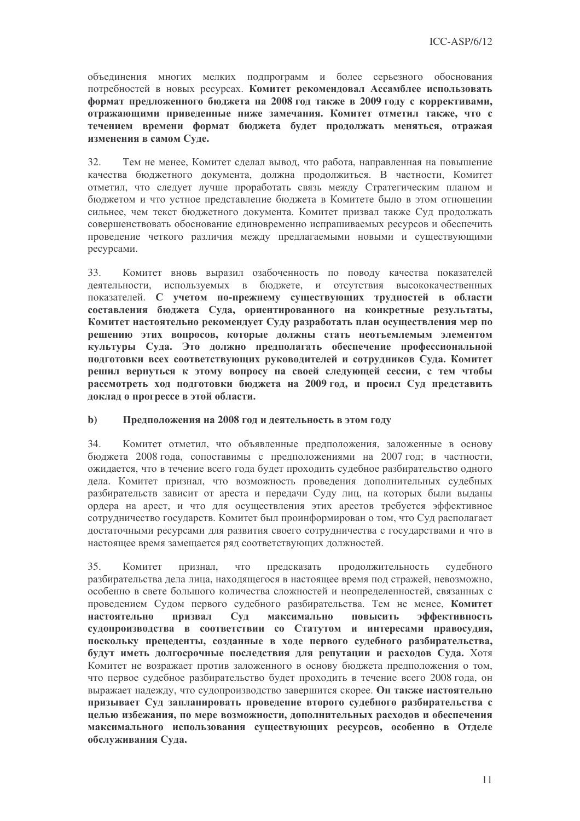объединения многих мелких подпрограмм и более серьезного обоснования потребностей в новых ресурсах. Комитет рекомендовал Ассамблее использовать формат предложенного бюджета на 2008 год также в 2009 году с коррективами, отражающими приведенные ниже замечания. Комитет отметил также, что с течением времени формат бюджета будет продолжать меняться, отражая изменения в самом Суде.

 $32<sub>1</sub>$ Тем не менее, Комитет сделал вывод, что работа, направленная на повышение качества бюджетного документа, должна продолжиться. В частности, Комитет отметил, что следует лучше проработать связь между Стратегическим планом и бюлжетом и что устное представление бюлжета в Комитете было в этом отношении сильнее, чем текст бюджетного документа. Комитет призвал также Суд продолжать совершенствовать обоснование единовременно испрашиваемых ресурсов и обеспечить проведение четкого различия между предлагаемыми новыми и существующими ресурсами.

Комитет вновь выразил озабоченность по поводу качества показателей 33. деятельности, используемых в бюджете, и отсутствия высококачественных показателей. С учетом по-прежнему существующих трудностей в области составления бюджета Суда, ориентированного на конкретные результаты, Комитет настоятельно рекомендует Суду разработать план осуществления мер по решению этих вопросов, которые должны стать неотъемлемым элементом культуры Суда. Это должно предполагать обеспечение профессиональной подготовки всех соответствующих руководителей и сотрудников Суда. Комитет решил вернуться к этому вопросу на своей следующей сессии, с тем чтобы рассмотреть ход подготовки бюджета на 2009 год, и просил Суд представить доклад о прогрессе в этой области.

#### $\mathbf{b}$ ) Предположения на 2008 год и деятельность в этом году

34. Комитет отметил, что объявленные предположения, заложенные в основу бюджета 2008 года, сопоставимы с предположениями на 2007 год; в частности, ожидается, что в течение всего года будет проходить судебное разбирательство одного дела. Комитет признал, что возможность проведения дополнительных судебных разбирательств зависит от ареста и передачи Суду лиц, на которых были выданы ордера на арест, и что для осуществления этих арестов требуется эффективное сотрудничество государств. Комитет был проинформирован о том, что Суд располагает лостаточными ресурсами для развития своего сотрудничества с государствами и что в настоящее время замещается ряд соответствующих должностей.

Комитет предсказать продолжительность судебного 35. признал, что разбирательства дела лица, находящегося в настоящее время под стражей, невозможно, особенно в свете большого количества сложностей и неопределенностей, связанных с проведением Судом первого судебного разбирательства. Тем не менее, Комитет призвал максимально настоятельно  $Cv$ повысить эффективность судопроизводства в соответствии со Статутом и интересами правосудия. поскольку прецеденты, созданные в ходе первого судебного разбирательства, будут иметь долгосрочные последствия для репутации и расходов Суда. Хотя Комитет не возражает против заложенного в основу бюджета предположения о том, что первое судебное разбирательство будет проходить в течение всего 2008 года, он выражает надежду, что судопроизводство завершится скорее. Он также настоятельно призывает Суд запланировать проведение второго судебного разбирательства с целью избежания, по мере возможности, дополнительных расходов и обеспечения максимального использования существующих ресурсов, особенно в Отделе обслуживания Суда.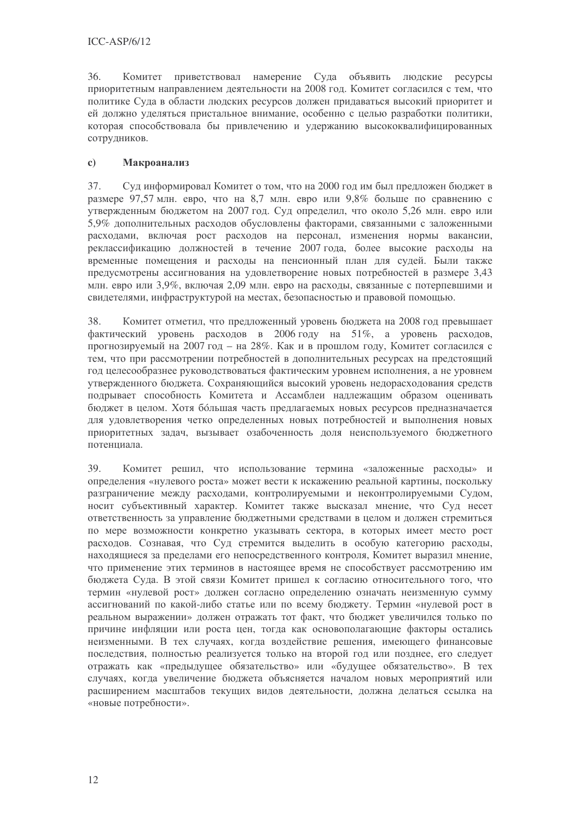36. Комитет приветствовал намерение Суда объявить людские ресурсы приоритетным направлением деятельности на 2008 год. Комитет согласился с тем, что политике Суда в области людских ресурсов должен придаваться высокий приоритет и ей должно уделяться пристальное внимание, особенно с целью разработки политики, которая способствовала бы привлечению и удержанию высококвалифицированных сотрудников.

#### $\mathbf{c}$ ) **Макроанализ**

37. Суд информировал Комитет о том, что на 2000 год им был предложен бюджет в размере 97,57 млн. евро, что на 8,7 млн. евро или 9,8% больше по сравнению с утвержденным бюджетом на 2007 год. Суд определил, что около 5,26 млн. евро или 5,9% дополнительных расходов обусловлены факторами, связанными с заложенными расходами, включая рост расходов на персонал, изменения нормы вакансии, реклассификацию должностей в течение 2007 года, более высокие расходы на временные помещения и расходы на пенсионный план для судей. Были также предусмотрены ассигнования на удовлетворение новых потребностей в размере 3,43 млн. евро или 3,9%, включая 2,09 млн. евро на расходы, связанные с потерпевшими и свидетелями, инфраструктурой на местах, безопасностью и правовой помощью.

38. Комитет отметил, что предложенный уровень бюджета на 2008 год превышает фактический уровень расходов в 2006 году на 51%, а уровень расходов, прогнозируемый на 2007 год - на 28%. Как и в прошлом году, Комитет согласился с тем, что при рассмотрении потребностей в лополнительных ресурсах на прелстоящий год целесообразнее руководствоваться фактическим уровнем исполнения, а не уровнем утвержденного бюджета. Сохраняющийся высокий уровень недорасходования средств подрывает способность Комитета и Ассамблеи надлежащим образом оценивать бюджет в целом. Хотя большая часть предлагаемых новых ресурсов предназначается для удовлетворения четко определенных новых потребностей и выполнения новых приоритетных задач, вызывает озабоченность доля неиспользуемого бюджетного потенниала.

39. Комитет решил, что использование термина «заложенные расходы» и определения «нулевого роста» может вести к искажению реальной картины, поскольку разграничение между расходами, контролируемыми и неконтролируемыми Судом, носит субъективный характер. Комитет также высказал мнение, что Суд несет ответственность за управление бюджетными средствами в целом и должен стремиться по мере возможности конкретно указывать сектора, в которых имеет место рост расходов. Сознавая, что Суд стремится выделить в особую категорию расходы, находящиеся за пределами его непосредственного контроля, Комитет выразил мнение, что применение этих терминов в настоящее время не способствует рассмотрению им бюджета Суда. В этой связи Комитет пришел к согласию относительного того, что термин «нулевой рост» должен согласно определению означать неизменную сумму ассигнований по какой-либо статье или по всему бюлжету. Термин «нулевой рост в реальном выражении» должен отражать тот факт, что бюджет увеличился только по причине инфляции или роста цен, тогда как основополагающие факторы остались неизменными. В тех случаях, когда воздействие решения, имеющего финансовые последствия, полностью реализуется только на второй год или позднее, его следует отражать как «предыдущее обязательство» или «будущее обязательство». В тех случаях, когда увеличение бюджета объясняется началом новых мероприятий или расширением масштабов текущих видов деятельности, должна делаться ссылка на «новые потребности».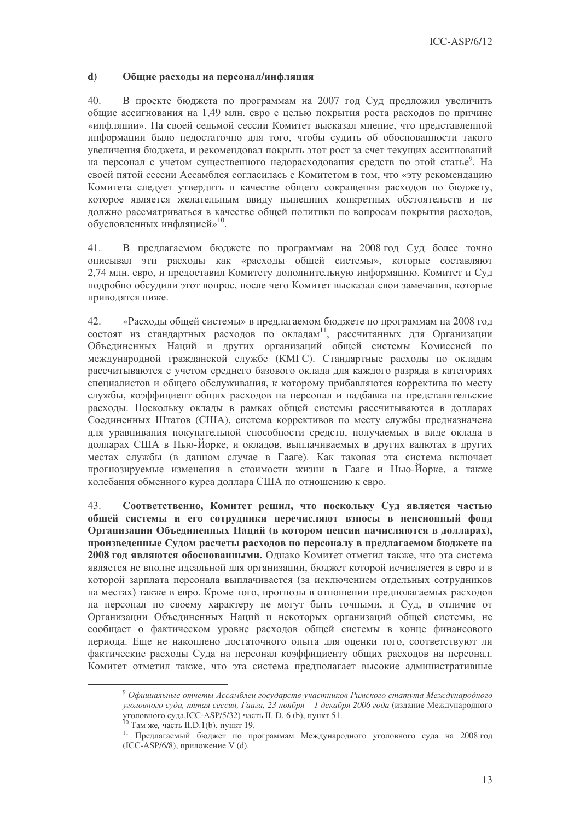#### $\mathbf{d}$ Общие расходы на персонал/инфляция

 $40.$ В проекте бюджета по программам на 2007 год Суд предложил увеличить общие ассигнования на 1.49 млн. евро с целью покрытия роста расходов по причине «инфляции». На своей седьмой сессии Комитет высказал мнение, что представленной информации было недостаточно для того, чтобы судить об обоснованности такого увеличения бюджета, и рекомендовал покрыть этот рост за счет текущих ассигнований на персонал с учетом существенного недорасходования средств по этой статье<sup>9</sup>. На своей пятой сессии Ассамблея согласилась с Комитетом в том, что «эту рекомендацию Комитета следует утвердить в качестве общего сокращения расходов по бюджету, которое является желательным ввилу нынешних конкретных обстоятельств и не должно рассматриваться в качестве общей политики по вопросам покрытия расходов, обусловленных инфляцией»<sup>10</sup>.

41. В предлагаемом бюджете по программам на 2008 год Суд более точно описывал эти расходы как «расходы общей системы», которые составляют 2,74 млн. евро, и предоставил Комитету дополнительную информацию. Комитет и Суд подробно обсудили этот вопрос, после чего Комитет высказал свои замечания, которые приводятся ниже.

 $42.$ «Расходы общей системы» в предлагаемом бюджете по программам на 2008 год остоят из стандартных расходов по окладам<sup>11</sup>, рассчитанных для Организации Объединенных Наций и других организаций общей системы Комиссией по международной гражданской службе (КМГС). Стандартные расходы по окладам рассчитываются с учетом среднего базового оклада для каждого разряда в категориях специалистов и общего обслуживания, к которому прибавляются корректива по месту службы, коэффициент общих расходов на персонал и надбавка на представительские расходы. Поскольку оклады в рамках общей системы рассчитываются в долларах Соединенных Штатов (США), система коррективов по месту службы предназначена для уравнивания покупательной способности средств, получаемых в виде оклада в долларах США в Нью-Йорке, и окладов, выплачиваемых в других валютах в других местах службы (в данном случае в Гааге). Как таковая эта система включает прогнозируемые изменения в стоимости жизни в Гааге и Нью-Йорке, а также колебания обменного курса доллара США по отношению к евро.

Соответственно, Комитет решил, что поскольку Суд является частью 43. обшей системы и его сотрудники перечисляют взносы в пенсионный фонд Организации Объединенных Наций (в котором ценсии начисляются в долларах), произведенные Судом расчеты расходов по персоналу в предлагаемом бюджете на 2008 год являются обоснованными. Однако Комитет отметил также, что эта система является не вполне идеальной для организации, бюджет которой исчисляется в евро и в которой зарплата персонала выплачивается (за исключением отдельных сотрудников на местах) также в евро. Кроме того, прогнозы в отношении предполагаемых расходов на персонал по своему характеру не могут быть точными, и Сул, в отличие от Организации Объединенных Наций и некоторых организаций общей системы, не сообщает о фактическом уровне расходов общей системы в конце финансового периода. Еще не накоплено достаточного опыта для оценки того, соответствуют ли фактические расходы Суда на персонал коэффициенту общих расходов на персонал. Комитет отметил также, что эта система предполагает высокие административные

<sup>&</sup>lt;sup>9</sup> Официальные отчеты Ассамблеи государств-участников Римского статута Международного уголовного суда, пятая сессия, Гаага, 23 ноября - 1 декабря 2006 года (издание Международного уголовного суда, ICC-ASP/5/32) часть II. D. 6 (b), пункт 51.<br><sup>10</sup> Там же, часть II.D.1(b), пункт 19.

<sup>11</sup> Предлагаемый бюджет по программам Международного уголовного суда на 2008 год  $(ICC-ASP/6/8)$ , приложение V (d).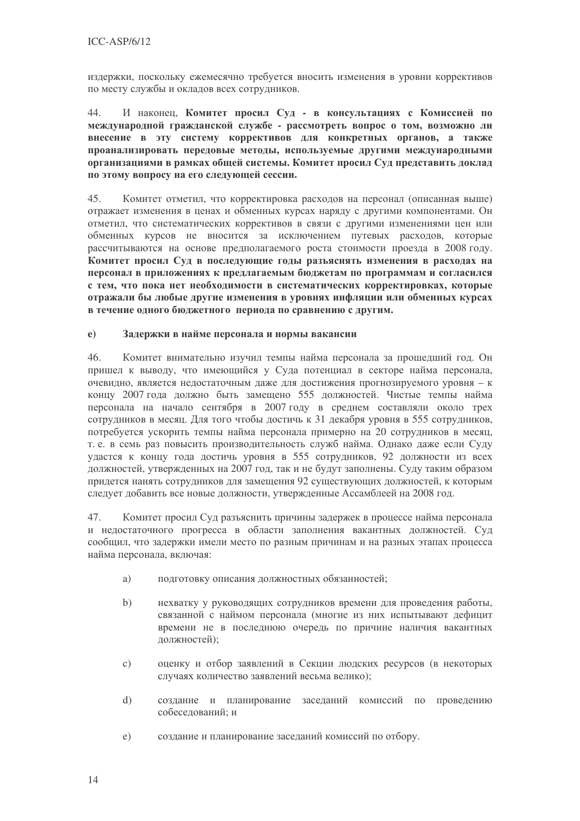издержки, поскольку ежемесячно требуется вносить изменения в уровни коррективов по месту службы и окладов всех сотрудников.

 $44.$ И наконец. Комитет просил Суд - в консультациях с Комиссией по международной гражданской службе - рассмотреть вопрос о том, возможно ли внесение в эту систему коррективов для конкретных органов, а также проанализировать передовые методы, используемые другими международными организациями в рамках общей системы. Комитет просил Суд представить доклад по этому вопросу на его следующей сессии.

Комитет отметил, что корректировка расходов на персонал (описанная выше) 45. отражает изменения в ценах и обменных курсах наряду с другими компонентами. Он отметил, что систематических коррективов в связи с другими изменениями цен или обменных курсов не вносится за исключением путевых расходов, которые рассчитываются на основе предполагаемого роста стоимости проезда в 2008 году. Комитет просил Суд в последующие годы разъяснять изменения в расходах на персонал в приложениях к предлагаемым бюджетам по программам и согласился с тем, что пока нет необходимости в систематических корректировках, которые отражали бы любые другие изменения в уровнях инфляции или обменных курсах в течение одного бюджетного периода по сравнению с другим.

#### $e)$ Задержки в найме персонала и нормы вакансии

 $46.$ Комитет внимательно изучил темпы найма персонала за прошедший год. Он пришел к выводу, что имеющийся у Суда потенциал в секторе найма персонала, очевидно, является недостаточным даже для достижения прогнозируемого уровня - к концу 2007 года должно быть замещено 555 должностей. Чистые темпы найма персонала на начало сентября в 2007 году в среднем составляли около трех сотрудников в месяц. Для того чтобы достичь к 31 декабря уровня в 555 сотрудников, потребуется ускорить темпы найма персонала примерно на 20 сотрудников в месяц, т. е. в семь раз повысить производительность служб найма. Однако даже если Суду удастся к концу года достичь уровня в 555 сотрудников, 92 должности из всех должностей, утвержденных на 2007 год, так и не будут заполнены. Суду таким образом придется нанять сотрудников для замещения 92 существующих должностей, к которым следует добавить все новые должности, утвержденные Ассамблеей на 2008 год.

47. Комитет просил Суд разъяснить причины задержек в процессе найма персонала и недостаточного прогресса в области заполнения вакантных должностей. Суд сообщил, что задержки имели место по разным причинам и на разных этапах процесса найма персонала, включая:

- подготовку описания должностных обязанностей; a)
- $b)$ нехватку у руководящих сотрудников времени для проведения работы, связанной с наймом персонала (многие из них испытывают дефицит времени не в последнюю очередь по причине наличия вакантных должностей);
- оценку и отбор заявлений в Секции людских ресурсов (в некоторых  $\mathcal{C}$ ) случаях количество заявлений весьма велико);
- создание и планирование заседаний комиссий по проведению  $\mathbf{d}$ собеселований: и
- создание и планирование заседаний комиссий по отбору.  $e)$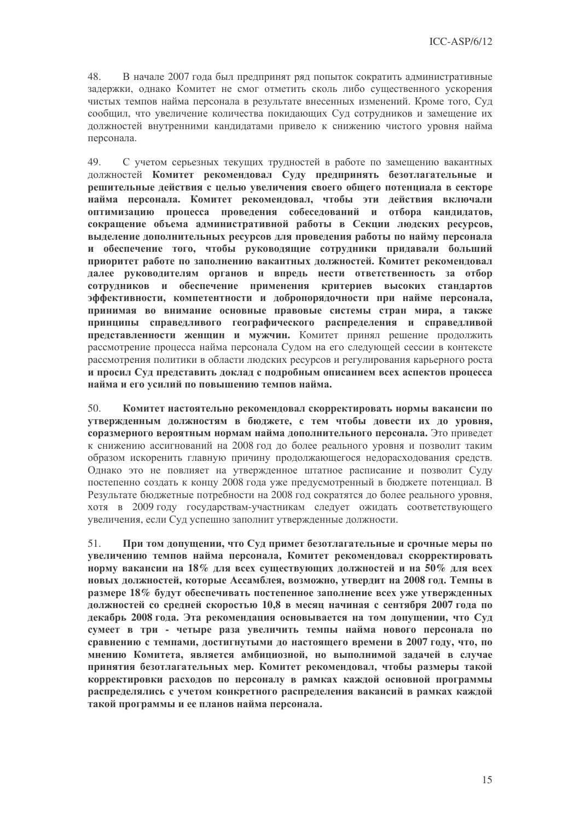48. В начале 2007 года был предпринят ряд попыток сократить административные задержки, однако Комитет не смог отметить сколь либо существенного ускорения чистых темпов найма персонала в результате внесенных изменений. Кроме того, Суд сообщил, что увеличение количества покидающих Суд сотрудников и замещение их лолжностей внутренними канлилатами привело к снижению чистого уровня найма персонала.

С учетом серьезных текущих трудностей в работе по замещению вакантных 49 должностей Комитет рекомендовал Суду предпринять безотлагательные и решительные действия с целью увеличения своего общего потенциала в секторе найма персонала. Комитет рекоменловал, чтобы эти лействия включали оптимизацию процесса провеления собеселований и отбора канлилатов. сокращение объема административной работы в Секции людских ресурсов, выделение дополнительных ресурсов для проведения работы по найму персонала и обеспечение того, чтобы руководящие сотрудники придавали больший приоритет работе по заполнению вакантных должностей. Комитет рекомендовал далее руководителям органов и впредь нести ответственность за отбор сотрудников и обеспечение применения критериев высоких стандартов эффективности, компетентности и добропорядочности при найме персонала, принимая во внимание основные правовые системы стран мира, а также принципы справедливого географического распределения и справедливой представленности женщин и мужчин. Комитет принял решение продолжить рассмотрение процесса найма персонала Судом на его следующей сессии в контексте рассмотрения политики в области людских ресурсов и регулирования карьерного роста и просил Суд представить доклад с подробным описанием всех аспектов процесса найма и его усилий по повышению темпов найма.

 $50<sub>1</sub>$ Комитет настоятельно рекомендовал скорректировать нормы вакансии по утвержденным должностям в бюджете, с тем чтобы довести их до уровня, соразмерного вероятным нормам найма дополнительного персонала. Это приведет к снижению ассигнований на 2008 год до более реального уровня и позволит таким образом искоренить главную причину продолжающегося недорасходования средств. Однако это не повлияет на утвержденное штатное расписание и позволит Суду постепенно создать к концу 2008 года уже предусмотренный в бюджете потенциал. В Результате бюджетные потребности на 2008 год сократятся до более реального уровня, хотя в 2009 году государствам-участникам следует ожидать соответствующего увеличения, если Суд успешно заполнит утвержденные должности.

При том допущении, что Суд примет безотлагательные и срочные меры по  $51.$ увеличению темпов найма персонала, Комитет рекомендовал скорректировать норму вакансии на 18% для всех существующих должностей и на 50% для всех новых должностей, которые Ассамблея, возможно, утвердит на 2008 год. Темпы в размере 18% будут обеспечивать постепенное заполнение всех уже утвержденных лолжностей со средней скоростью 10.8 в месяц начиная с сентября 2007 года по лекабрь 2008 года. Эта рекомендация основывается на том допушении, что Суд сумеет в три - четыре раза увеличить темпы найма нового персонала по сравнению с темпами, достигнутыми до настоящего времени в 2007 году, что, по мнению Комитета, является амбициозной, но выполнимой задачей в случае принятия безотлагательных мер. Комитет рекомендовал, чтобы размеры такой корректировки расходов по персоналу в рамках каждой основной программы распределялись с учетом конкретного распределения вакансий в рамках каждой такой программы и ее планов найма персонала.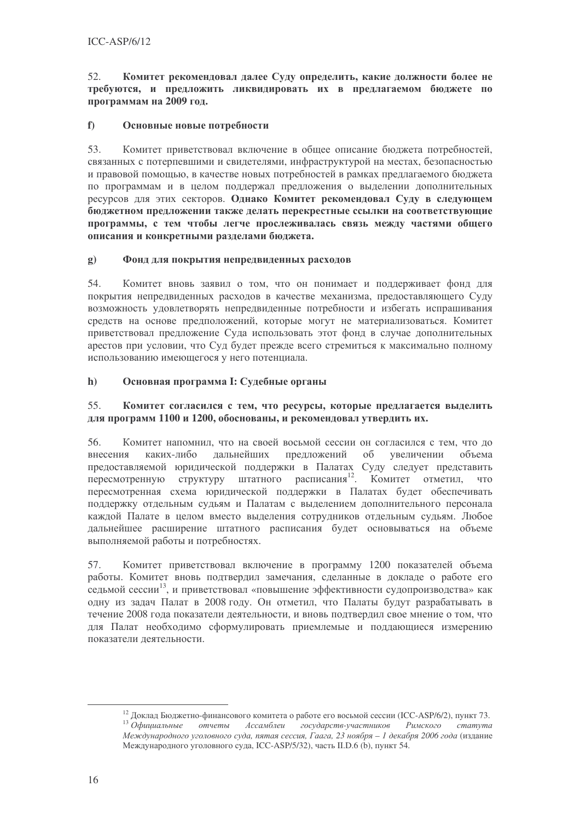52. Комитет рекомендовал далее Суду определить, какие должности более не требуются, и предложить ликвидировать их в предлагаемом бюджете по программам на 2009 год.

#### $f$ Основные новые потребности

Комитет приветствовал включение в общее описание бюджета потребностей, 53. связанных с потерпевшими и свидетелями, инфраструктурой на местах, безопасностью и правовой помощью, в качестве новых потребностей в рамках предлагаемого бюджета по программам и в целом поддержал предложения о выделении дополнительных ресурсов для этих секторов. Однако Комитет рекомендовал Суду в следующем бюлжетном прелложении также лелать перекрестные ссылки на соответствующие программы, с тем чтобы легче прослеживалась связь между частями общего описания и конкретными разделами бюджета.

#### Фонд для покрытия непредвиденных расходов  $\mathbf{g}$ )

54. Комитет вновь заявил о том, что он понимает и поддерживает фонд для покрытия непредвиденных расходов в качестве механизма, предоставляющего Суду возможность удовлетворять непредвиденные потребности и избегать испрашивания средств на основе предположений, которые могут не материализоваться. Комитет приветствовал предложение Суда использовать этот фонд в случае дополнительных арестов при условии, что Суд будет прежде всего стремиться к максимально полному использованию имеющегося у него потенциала.

#### $h)$ Основная программа І: Судебные органы

#### 55 Комитет согласился с тем, что ресурсы, которые предлагается выделить для программ 1100 и 1200, обоснованы, и рекомендовал утвердить их.

56. Комитет напомнил, что на своей восьмой сессии он согласился с тем, что до лальнейших предложений внесения каких-либо  $\overline{00}$ увеличении объема предоставляемой юридической поддержки в Палатах Суду следует представить пересмотренную структуру штатного расписания<sup>12</sup>. Комитет отметил, что пересмотренная схема юридической поддержки в Палатах будет обеспечивать поддержку отдельным судьям и Палатам с выделением дополнительного персонала каждой Палате в целом вместо выделения сотрудников отдельным судьям. Любое дальнейшее расширение штатного расписания будет основываться на объеме выполняемой работы и потребностях.

Комитет приветствовал включение в программу 1200 показателей объема 57. работы. Комитет вновь полтверлил замечания, слеланные в локлале о работе его седьмой сессии<sup>13</sup>, и приветствовал «повышение эффективности судопроизводства» как одну из задач Палат в 2008 году. Он отметил, что Палаты будут разрабатывать в течение 2008 года показатели деятельности, и вновь подтвердил свое мнение о том, что для Палат необходимо сформулировать приемлемые и поддающиеся измерению показатели леятельности.

<sup>&</sup>lt;sup>12</sup> Доклад Бюджетно-финансового комитета о работе его восьмой сессии (ICC-ASP/6/2), пункт 73.  $13$  Официальные  $\int$  государств-участников отчеты Ассамблеи Римского cmamyma Международного уголовного суда, пятая сессия, Гаага, 23 ноября - 1 декабря 2006 года (издание Международного уголовного суда, ICC-ASP/5/32), часть II.D.6 (b), пункт 54.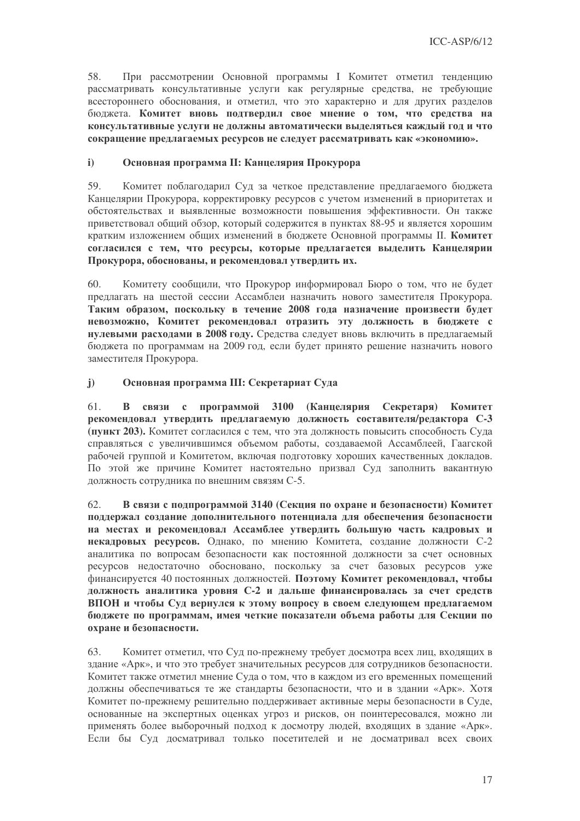58. При рассмотрении Основной программы I Комитет отметил тенденцию рассматривать консультативные услуги как регулярные средства, не требующие всестороннего обоснования, и отметил, что это характерно и для других разделов бюджета. Комитет вновь подтвердил свое мнение о том, что средства на консультативные услуги не должны автоматически выделяться каждый год и что сокращение предлагаемых ресурсов не следует рассматривать как «экономию».

#### $i)$ Основная программа II: Канцелярия Прокурора

59. Комитет поблагодарил Суд за четкое представление предлагаемого бюджета Канцелярии Прокурора, корректировку ресурсов с учетом изменений в приоритетах и обстоятельствах и выявленные возможности повышения эффективности. Он также приветствовал общий обзор, который содержится в пунктах 88-95 и является хорошим кратким изложением общих изменений в бюджете Основной программы II. Комитет согласился с тем, что ресурсы, которые предлагается выделить Канцелярии Прокурора, обоснованы, и рекомендовал утвердить их.

Комитету сообщили, что Прокурор информировал Бюро о том, что не будет  $60.$ предлагать на шестой сессии Ассамблеи назначить нового заместителя Прокурора. Таким образом, поскольку в течение 2008 года назначение произвести будет невозможно, Комитет рекомендовал отразить эту должность в бюджете с нулевыми расходами в 2008 году. Средства следует вновь включить в предлагаемый бюджета по программам на 2009 год, если будет принято решение назначить нового заместителя Прокурора.

#### $\mathbf{i}$ Основная программа III: Секретариат Суда

В связи с программой 3100 (Канцелярия Секретаря) Комитет 61. рекомендовал утвердить предлагаемую должность составителя/редактора С-3 (пункт 203). Комитет согласился с тем, что эта должность повысить способность Суда справляться с увеличившимся объемом работы, создаваемой Ассамблеей, Гаагской рабочей группой и Комитетом, включая подготовку хороших качественных докладов. По этой же причине Комитет настоятельно призвал Суд заполнить вакантную должность сотрудника по внешним связям С-5.

62. В связи с подпрограммой 3140 (Секция по охране и безопасности) Комитет поддержал создание дополнительного потенциала для обеспечения безопасности на местах и рекомендовал Ассамблее утвердить большую часть кадровых и некадровых ресурсов. Однако, по мнению Комитета, создание должности С-2 аналитика по вопросам безопасности как постоянной должности за счет основных ресурсов недостаточно обосновано, поскольку за счет базовых ресурсов уже финансируется 40 постоянных должностей. Поэтому Комитет рекомендовал, чтобы должность аналитика уровня С-2 и дальше финансировалась за счет средств ВПОН и чтобы Суд вернулся к этому вопросу в своем следующем предлагаемом бюджете по программам, имея четкие показатели объема работы для Секции по охране и безопасности.

Комитет отметил, что Суд по-прежнему требует досмотра всех лиц, входящих в 63. здание «Арк», и что это требует значительных ресурсов для сотрудников безопасности. Комитет также отметил мнение Суда о том, что в каждом из его временных помещений должны обеспечиваться те же стандарты безопасности, что и в здании «Арк». Хотя Комитет по-прежнему решительно поддерживает активные меры безопасности в Суде, основанные на экспертных оценках угроз и рисков, он поинтересовался, можно ли применять более выборочный подход к досмотру людей, входящих в здание «Арк». Если бы Суд досматривал только посетителей и не досматривал всех своих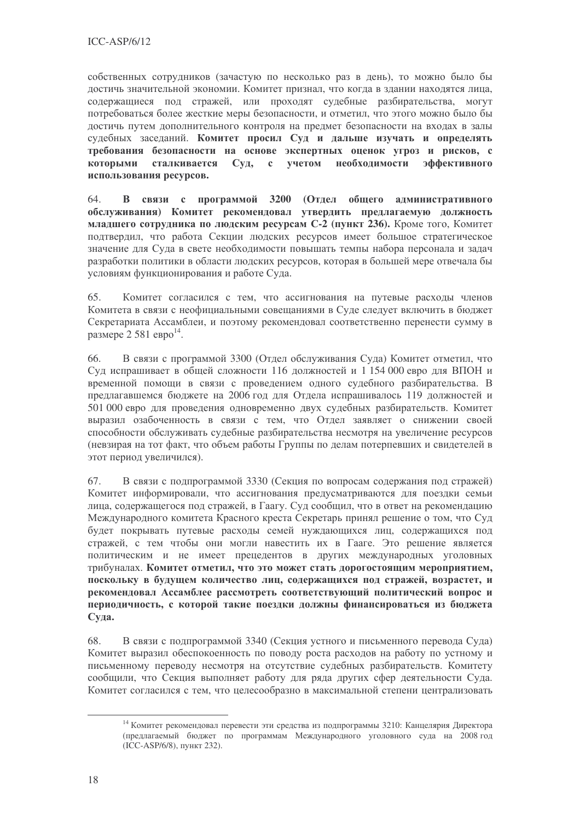собственных сотрудников (зачастую по несколько раз в день), то можно было бы достичь значительной экономии. Комитет признал, что когда в здании находятся лица, содержащиеся под стражей, или проходят судебные разбирательства, могут потребоваться более жесткие меры безопасности, и отметил, что этого можно было бы достичь путем дополнительного контроля на предмет безопасности на входах в залы судебных заседаний. Комитет просил Суд и дальше изучать и определять требования безопасности на основе экспертных оценок угроз и рисков, с Суд, с учетом необходимости эффективного которыми сталкивается использования ресурсов.

В связи с программой 3200 (Отдел общего алминистративного 64. обслуживания) Комитет рекомендовал утвердить предлагаемую должность младшего сотрудника по людским ресурсам С-2 (пункт 236). Кроме того, Комитет подтвердил, что работа Секции людских ресурсов имеет большое стратегическое значение для Суда в свете необходимости повышать темпы набора персонала и задач разработки политики в области людских ресурсов, которая в большей мере отвечала бы условиям функционирования и работе Суда.

65. Комитет согласился с тем, что ассигнования на путевые расходы членов Комитета в связи с неофициальными совешаниями в Суле слелует включить в бюлжет Секретариата Ассамблеи, и поэтому рекомендовал соответственно перенести сумму в размере 2 581 евро<sup>14</sup>.

66. В связи с программой 3300 (Отлел обслуживания Сула) Комитет отметил, что Суд испрашивает в общей сложности 116 должностей и 1154 000 евро для ВПОН и временной помощи в связи с проведением одного судебного разбирательства. В предлагавшемся бюджете на 2006 год для Отдела испрашивалось 119 должностей и 501 000 евро для проведения одновременно двух судебных разбирательств. Комитет выразил озабоченность в связи с тем, что Отдел заявляет о снижении своей способности обслуживать судебные разбирательства несмотря на увеличение ресурсов (невзирая на тот факт, что объем работы Группы по делам потерпевших и свидетелей в этот период увеличился).

В связи с подпрограммой 3330 (Секция по вопросам содержания под стражей) 67. Комитет информировали, что ассигнования предусматриваются для поездки семьи лица, содержащегося под стражей, в Гаагу. Суд сообщил, что в ответ на рекомендацию Международного комитета Красного креста Секретарь принял решение о том, что Суд будет покрывать путевые расходы семей нуждающихся лиц, содержащихся под стражей, с тем чтобы они могли навестить их в Гааге. Это решение является политическим и не имеет прецедентов в других международных уголовных трибуналах. Комитет отметил, что это может стать дорогостоящим мероприятием, поскольку в будущем количество лиц, содержащихся под стражей, возрастет, и рекомендовал Ассамблее рассмотреть соответствующий политический вопрос и периодичность, с которой такие поездки должны финансироваться из бюджета Суда.

68. В связи с подпрограммой 3340 (Секция устного и письменного перевода Суда) Комитет выразил обеспокоенность по поводу роста расходов на работу по устному и письменному переводу несмотря на отсутствие судебных разбирательств. Комитету сообщили, что Секция выполняет работу для ряда других сфер деятельности Суда. Комитет согласился с тем, что целесообразно в максимальной степени централизовать

<sup>&</sup>lt;sup>14</sup> Комитет рекомендовал перевести эти средства из подпрограммы 3210: Канцелярия Директора (предлагаемый бюджет по программам Международного уголовного суда на 2008 год (ICC-ASP/6/8), пункт 232).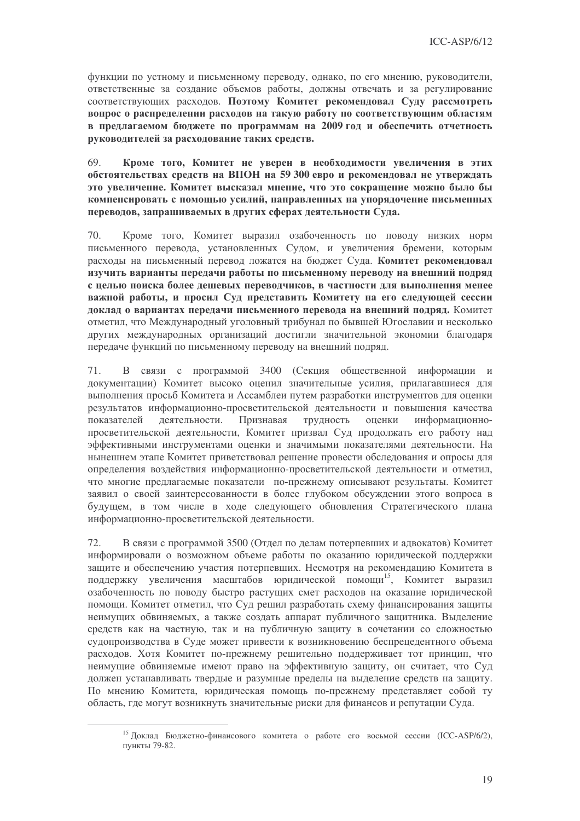функции по устному и письменному переводу, однако, по его мнению, руководители, ответственные за создание объемов работы, должны отвечать и за регулирование соответствующих расходов. Поэтому Комитет рекомендовал Суду рассмотреть вопрос о распределении расходов на такую работу по соответствующим областям в предлагаемом бюджете по программам на 2009 год и обеспечить отчетность руководителей за расходование таких средств.

Кроме того, Комитет не уверен в необходимости увеличения в этих 69 обстоятельствах средств на ВПОН на 59 300 евро и рекомендовал не утверждать это увеличение. Комитет высказал мнение, что это сокращение можно было бы компенсировать с помошью усилий, направленных на упорядочение письменных переводов, запрашиваемых в других сферах деятельности Суда.

Кроме того, Комитет выразил озабоченность по поводу низких норм 70. письменного перевода, установленных Судом, и увеличения бремени, которым расходы на письменный перевод ложатся на бюджет Суда. Комитет рекомендовал изучить варианты передачи работы по письменному переводу на внешний подряд с целью поиска более дешевых переводчиков, в частности для выполнения менее важной работы, и просил Суд представить Комитету на его следующей сессии доклад о вариантах передачи письменного перевода на внешний подряд. Комитет отметил, что Международный уголовный трибунал по бывшей Югославии и несколько других международных организаций достигли значительной экономии благодаря передаче функций по письменному переводу на внешний подряд.

 $71.$ В связи с программой 3400 (Секция общественной информации и документации) Комитет высоко оценил значительные усилия, прилагавшиеся для выполнения просьб Комитета и Ассамблеи путем разработки инструментов для оценки результатов информационно-просветительской деятельности и повышения качества показателей деятельности. Признавая трудность оценки информационнопросветительской деятельности, Комитет призвал Суд продолжать его работу над эффективными инструментами оценки и значимыми показателями деятельности. На нынешнем этапе Комитет приветствовал решение провести обследования и опросы для определения воздействия информационно-просветительской деятельности и отметил, что многие предлагаемые показатели по-прежнему описывают результаты. Комитет заявил о своей заинтересованности в более глубоком обсуждении этого вопроса в будущем, в том числе в ходе следующего обновления Стратегического плана информационно-просветительской деятельности.

В связи с программой 3500 (Отдел по делам потерпевших и адвокатов) Комитет 72. информировали о возможном объеме работы по оказанию юридической поддержки защите и обеспечению участия потерпевших. Несмотря на рекомендацию Комитета в поддержку увеличения масштабов юридической помощи<sup>15</sup>, Комитет выразил озабоченность по поводу быстро растущих смет расходов на оказание юридической помощи. Комитет отметил, что Суд решил разработать схему финансирования защиты неимущих обвиняемых, а также создать аппарат публичного защитника. Выделение средств как на частную, так и на публичную защиту в сочетании со сложностью судопроизводства в Суде может привести к возникновению беспрецедентного объема расходов. Хотя Комитет по-прежнему решительно поддерживает тот принцип, что неимущие обвиняемые имеют право на эффективную защиту, он считает, что Суд лолжен устанавливать тверлые и разумные прелелы на вылеление срелств на зашиту. По мнению Комитета, юридическая помощь по-прежнему представляет собой ту область, гле могут возникнуть значительные риски для финансов и репутации Суда.

<sup>&</sup>lt;sup>15</sup> Доклад Бюджетно-финансового комитета о работе его восьмой сессии (ICC-ASP/6/2), пункты 79-82.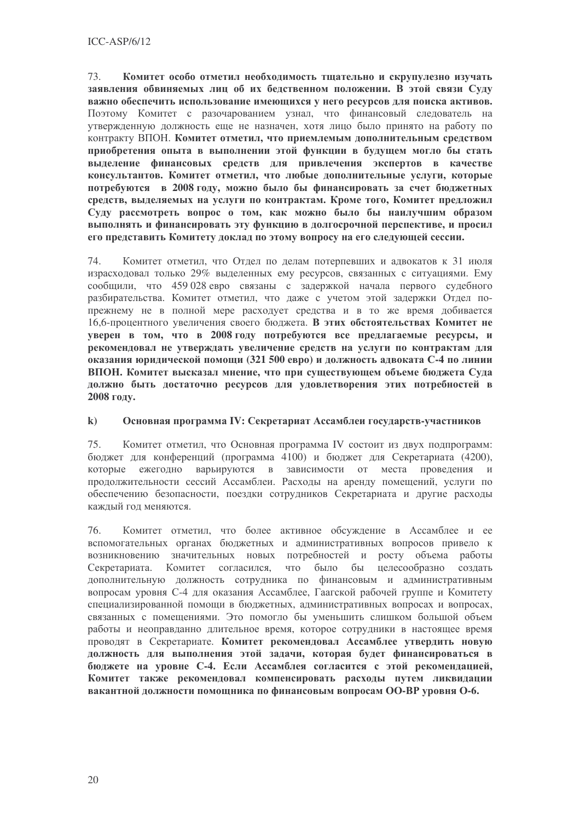73. Комитет особо отметил необходимость тщательно и скрупулезно изучать заявления обвиняемых лиц об их бедственном положении. В этой связи Суду важно обеспечить использование имеющихся у него ресурсов для поиска активов. Поэтому Комитет с разочарованием узнал, что финансовый следователь на утвержденную должность еще не назначен, хотя лицо было принято на работу по контракту ВПОН. Комитет отметил, что приемлемым дополнительным средством приобретения опыта в выполнении этой функции в будущем могло бы стать выделение финансовых средств для привлечения экспертов в качестве консультантов. Комитет отметил, что любые дополнительные услуги, которые потребуются в 2008 году, можно было бы финансировать за счет бюджетных средств, выделяемых на услуги по контрактам. Кроме того, Комитет предложил Суду рассмотреть вопрос о том, как можно было бы наилучшим образом выполнять и финансировать эту функцию в долгосрочной перспективе, и просил его представить Комитету доклад по этому вопросу на его следующей сессии.

74. Комитет отметил, что Отдел по делам потерпевших и адвокатов к 31 июля израсходовал только 29% выделенных ему ресурсов, связанных с ситуациями. Ему сообщили, что 459 028 евро связаны с задержкой начала первого судебного разбирательства. Комитет отметил, что даже с учетом этой задержки Отдел попрежнему не в полной мере расходует средства и в то же время добивается 16,6-процентного увеличения своего бюджета. В этих обстоятельствах Комитет не уверен в том, что в 2008 году потребуются все предлагаемые ресурсы, и рекомендовал не утверждать увеличение средств на услуги по контрактам для оказания юридической помощи (321 500 евро) и должность адвоката С-4 по линии ВПОН. Комитет высказал мнение, что при существующем объеме бюджета Суда должно быть достаточно ресурсов для удовлетворения этих потребностей в 2008 году.

#### $\bf k$ Основная программа IV: Секретариат Ассамблеи государств-участников

Комитет отметил, что Основная программа IV состоит из двух подпрограмм: 75 бюджет для конференций (программа 4100) и бюджет для Секретариата (4200), которые ежегодно варьируются в зависимости от места проведения и продолжительности сессий Ассамблеи. Расходы на аренду помещений, услуги по обеспечению безопасности, поездки сотрудников Секретариата и другие расходы кажлый год меняются.

76. Комитет отметил, что более активное обсуждение в Ассамблее и ее вспомогательных органах бюджетных и административных вопросов привело к возникновению значительных новых потребностей и росту объема работы Секретариата. Комитет согласился, что было бы целесообразно создать дополнительную должность сотрудника по финансовым и административным вопросам уровня С-4 для оказания Ассамблее, Гаагской рабочей группе и Комитету специализированной помощи в бюджетных, алминистративных вопросах и вопросах, связанных с помещениями. Это помогло бы уменьшить слишком большой объем работы и неоправданно длительное время, которое сотрудники в настоящее время проводят в Секретариате. Комитет рекомендовал Ассамблее утвердить новую должность для выполнения этой задачи, которая будет финансироваться в бюджете на уровне С-4. Если Ассамблея согласится с этой рекомендацией, Комитет также рекомендовал компенсировать расходы путем ликвидации вакантной должности помощника по финансовым вопросам ОО-ВР уровня О-6.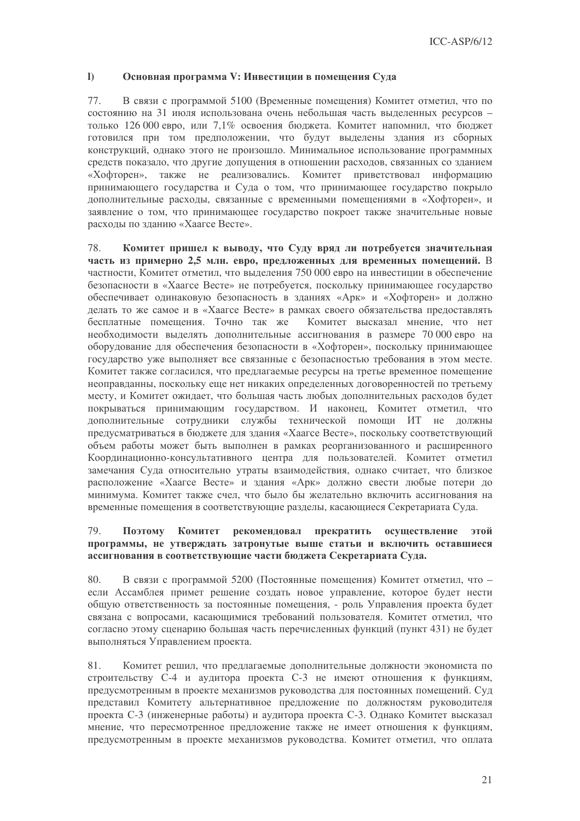#### $\mathbf{I}$ Основная программа V: Инвестиции в помещения Суда

77. В связи с программой 5100 (Временные помещения) Комитет отметил, что по состоянию на 31 июля использована очень небольшая часть вылеленных ресурсов только 126 000 евро, или 7,1% освоения бюджета. Комитет напомнил, что бюджет готовился при том предположении, что будут выделены здания из сборных конструкций, однако этого не произошло. Минимальное использование программных средств показало, что другие допущения в отношении расходов, связанных со зданием «Хофторен», также не реализовались. Комитет приветствовал информацию принимающего государства и Суда о том, что принимающее государство покрыло лополнительные расходы, связанные с временными помешениями в «Хофторен», и заявление о том, что принимающее государство покроет также значительные новые расходы по зданию «Хаагсе Весте».

78. Комитет пришел к выводу, что Суду вряд ли потребуется значительная часть из примерно 2,5 млн. евро, предложенных для временных помещений. В частности, Комитет отметил, что выделения 750 000 евро на инвестиции в обеспечение безопасности в «Хаагсе Весте» не потребуется, поскольку принимающее государство обеспечивает одинаковую безопасность в зданиях «Арк» и «Хофторен» и должно лелать то же самое и в «Хаагсе Весте» в рамках своего обязательства предоставлять бесплатные помещения. Точно так же Комитет высказал мнение, что нет необходимости выделять дополнительные ассигнования в размере 70 000 евро на оборудование для обеспечения безопасности в «Хофторен», поскольку принимающее государство уже выполняет все связанные с безопасностью требования в этом месте. Комитет также согласился, что предлагаемые ресурсы на третье временное помещение неоправданны, поскольку еще нет никаких определенных договоренностей по третьему месту, и Комитет ожидает, что большая часть любых дополнительных расходов будет покрываться принимающим государством. И наконец, Комитет отметил, что дополнительные сотрудники службы технической помощи ИТ не должны предусматриваться в бюджете для здания «Хаагсе Весте», поскольку соответствующий объем работы может быть выполнен в рамках реорганизованного и расширенного Координационно-консультативного центра для пользователей. Комитет отметил замечания Суда относительно утраты взаимодействия, однако считает, что близкое расположение «Хаагсе Весте» и здания «Арк» должно свести любые потери до минимума. Комитет также счел, что было бы желательно включить ассигнования на временные помещения в соответствующие разделы, касающиеся Секретариата Суда.

#### 79. Поэтому Комитет **пекоменловал** прекратить осушествление этой программы, не утверждать затронутые выше статьи и включить оставшиеся ассигнования в соответствующие части бюджета Секретариата Суда.

80. В связи с программой 5200 (Постоянные помещения) Комитет отметил, что если Ассамблея примет решение создать новое управление, которое будет нести обшую ответственность за постоянные помешения, - роль Управления проекта будет связана с вопросами, касающимися требований пользователя. Комитет отметил, что согласно этому сценарию большая часть перечисленных функций (пункт 431) не будет выполняться Управлением проекта.

81. Комитет решил, что предлагаемые дополнительные должности экономиста по строительству С-4 и аудитора проекта С-3 не имеют отношения к функциям, предусмотренным в проекте механизмов руководства для постоянных помещений. Суд представил Комитету альтернативное предложение по должностям руководителя проекта С-3 (инженерные работы) и аудитора проекта С-3. Однако Комитет высказал мнение, что пересмотренное предложение также не имеет отношения к функциям, предусмотренным в проекте механизмов руководства. Комитет отметил, что оплата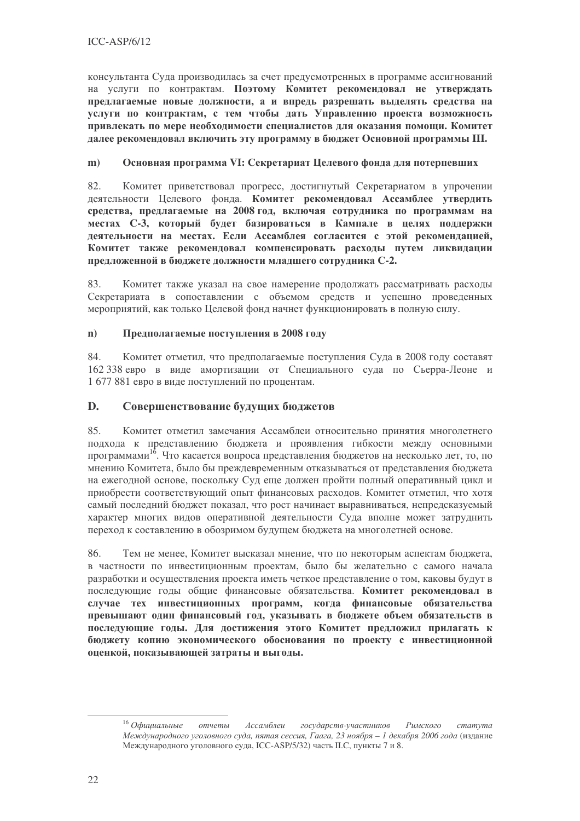консультанта Суда производилась за счет предусмотренных в программе ассигнований на услуги по контрактам. Поэтому Комитет рекомендовал не утверждать предлагаемые новые должности, а и впредь разрешать выделять средства на услуги по контрактам, с тем чтобы дать Управлению проекта возможность привлекать по мере необходимости специалистов для оказания помощи. Комитет далее рекомендовал включить эту программу в бюджет Основной программы III.

#### Основная программа VI: Секретариат Целевого фонда для потерпевших  $m)$

82. Комитет приветствовал прогресс, достигнутый Секретариатом в упрочении деятельности Целевого фонда. Комитет рекомендовал Ассамблее утвердить средства, предлагаемые на 2008 год, включая сотрудника по программам на местах С-3, который будет базироваться в Кампале в целях поддержки деятельности на местах. Если Ассамблея согласится с этой рекомендацией, Комитет также рекомендовал компенсировать расходы путем ликвидации предложенной в бюджете должности младшего сотрудника С-2.

Комитет также указал на свое намерение продолжать рассматривать расходы 83. Секретариата в сопоставлении с объемом средств и успешно проведенных мероприятий, как только Пелевой фонл начнет функционировать в полную силу.

#### Предполагаемые поступления в 2008 году  $\mathbf{n}$ )

84. Комитет отметил, что предполагаемые поступления Суда в 2008 году составят 162 338 евро в виде амортизации от Специального суда по Сьерра-Леоне и 1 677 881 евро в виде поступлений по процентам.

#### $\mathbf{D}$ . Совершенствование будущих бюджетов

Комитет отметил замечания Ассамблеи относительно принятия многолетнего 85. полхола к представлению бюджета и проявления гибкости между основными программами<sup>16</sup>. Что касается вопроса представления бюджетов на несколько лет, то, по мнению Комитета, было бы преждевременным отказываться от представления бюджета на ежегодной основе, поскольку Суд еще должен пройти полный оперативный цикл и приобрести соответствующий опыт финансовых расходов. Комитет отметил, что хотя самый последний бюджет показал, что рост начинает выравниваться, непредсказуемый характер многих видов оперативной деятельности Суда вполне может затруднить переход к составлению в обозримом будущем бюджета на многолетней основе.

Тем не менее, Комитет высказал мнение, что по некоторым аспектам бюджета, 86 в частности по инвестиционным проектам, было бы желательно с самого начала разработки и осуществления проекта иметь четкое представление о том, каковы будут в последующие годы общие финансовые обязательства. Комитет рекомендовал в случае тех инвестиционных программ, когда финансовые обязательства превышают один финансовый год, указывать в бюджете объем обязательств в последующие годы. Для достижения этого Комитет предложил прилагать к бюлжету копию экономического обоснования по проекту с инвестиционной оценкой, показывающей затраты и выгоды.

 $16$  Офишиальные отчеты Ассамблеи государств-участников  $P_{UMCWO2O}$  $c$ mamyma Международного уголовного суда, пятая сессия, Гаага, 23 ноября - 1 декабря 2006 года (издание Международного уголовного суда, ICC-ASP/5/32) часть II.С, пункты 7 и 8.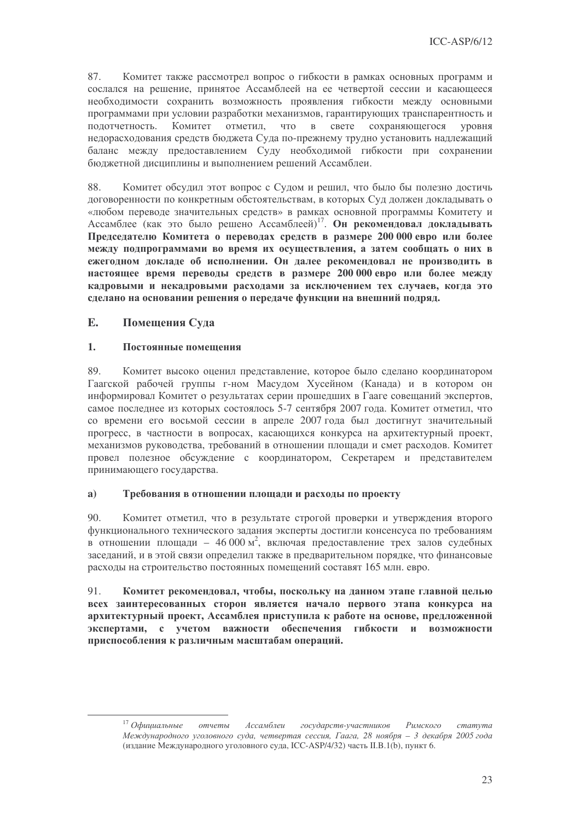87. Комитет также рассмотрел вопрос о гибкости в рамках основных программ и сослался на решение, принятое Ассамблеей на ее четвертой сессии и касающееся необходимости сохранить возможность проявления гибкости между основными программами при условии разработки механизмов, гарантирующих транспарентность и полотчетность. Комитет отметил.  $\angle$  4TO B свете сохраняющегося **VDOBHS** недорасходования средств бюджета Суда по-прежнему трудно установить надлежащий баланс между предоставлением Суду необходимой гибкости при сохранении бюджетной дисциплины и выполнением решений Ассамблеи.

88. Комитет обсудил этот вопрос с Судом и решил, что было бы полезно достичь логоворенности по конкретным обстоятельствам, в которых Сул лолжен локлалывать о «любом переводе значительных средств» в рамках основной программы Комитету и Ассамблее (как это было решено Ассамблеей)<sup>17</sup>. Он рекомендовал докладывать Председателю Комитета о переводах средств в размере 200 000 евро или более между подпрограммами во время их осуществления, а затем сообщать о них в ежегодном докладе об исполнении. Он далее рекомендовал не производить в настоящее время переводы средств в размере 200 000 евро или более между кадровыми и некадровыми расходами за исключением тех случаев, когда это сделано на основании решения о передаче функции на внешний подряд.

#### E. Помещения Суда

#### $1.$ Постоянные помещения

Комитет высоко оценил представление, которое было сделано координатором 89 Гаагской рабочей группы г-ном Масудом Хусейном (Канада) и в котором он информировал Комитет о результатах серии прошедших в Гааге совещаний экспертов, самое последнее из которых состоялось 5-7 сентября 2007 года. Комитет отметил, что со времени его восьмой сессии в апреле 2007 года был достигнут значительный прогресс, в частности в вопросах, касающихся конкурса на архитектурный проект, механизмов руководства, требований в отношении площади и смет расходов. Комитет провел полезное обсуждение с координатором, Секретарем и представителем принимающего государства.

#### $a)$ Требования в отношении площади и расходы по проекту

Комитет отметил, что в результате строгой проверки и утверждения второго  $90.$ функционального технического задания эксперты достигли консенсуса по требованиям в отношении площади - 46 000 м<sup>2</sup>, включая предоставление трех залов судебных заседаний, и в этой связи определил также в предварительном порядке, что финансовые расходы на строительство постоянных помещений составят 165 млн. евро.

91. Комитет рекомендовал, чтобы, поскольку на данном этапе главной целью всех заинтересованных сторон является начало первого этапа конкурса на архитектурный проект, Ассамблея приступила к работе на основе, предложенной экспертами, с учетом важности обеспечения гибкости и возможности приспособления к различным масштабам операций.

 $17$  Офишиальные Ассамблеи государств-участников отчеты Римского  $c$ mamyma Международного уголовного суда, четвертая сессия, Гаага, 28 ноября - 3 декабря 2005 года (издание Международного уголовного суда, ICC-ASP/4/32) часть II.B.1(b), пункт 6.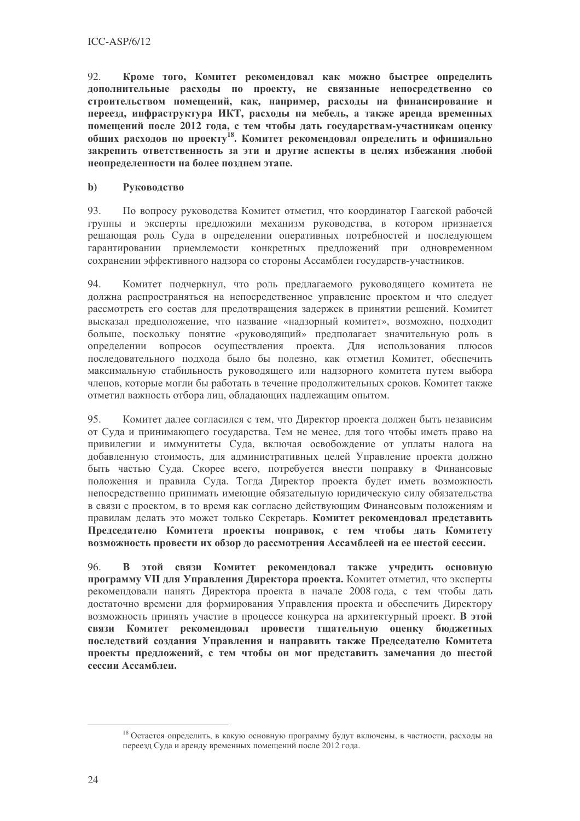92. Кроме того, Комитет рекомендовал как можно быстрее определить дополнительные расходы по проекту, не связанные непосредственно со строительством помещений, как, например, расходы на финансирование и переезд, инфраструктура ИКТ, расходы на мебель, а также аренда временных помещений после 2012 года, с тем чтобы дать государствам-участникам оценку общих расходов по проекту<sup>18</sup>. Комитет рекомендовал определить и официально закрепить ответственность за эти и другие аспекты в целях избежания любой неопределенности на более позднем этапе.

#### $\mathbf{b}$ Руководство

 $\overline{Q}$ По вопросу руководства Комитет отметил, что координатор Гаагской рабочей группы и эксперты предложили механизм руководства, в котором признается решающая роль Суда в определении оперативных потребностей и последующем гарантировании приемлемости конкретных предложений при одновременном сохранении эффективного надзора со стороны Ассамблеи государств-участников.

Комитет подчеркнул, что роль предлагаемого руководящего комитета не 94. должна распространяться на непосредственное управление проектом и что следует рассмотреть его состав для предотврашения задержек в принятии решений. Комитет высказал предположение, что название «надзорный комитет», возможно, подходит больше, поскольку понятие «руковолящий» предполагает значительную роль в определении вопросов осуществления проекта. Для использования плюсов послеловательного полхола было бы полезно, как отметил Комитет, обеспечить максимальную стабильность руководящего или надзорного комитета путем выбора членов, которые могли бы работать в течение продолжительных сроков. Комитет также отметил важность отбора лиц, обладающих надлежащим опытом.

95. Комитет далее согласился с тем, что Директор проекта должен быть независим от Суда и принимающего государства. Тем не менее, для того чтобы иметь право на привилегии и иммунитеты Суда, включая освобождение от уплаты налога на добавленную стоимость, для административных целей Управление проекта должно быть частью Суда. Скорее всего, потребуется внести поправку в Финансовые положения и правила Суда. Тогда Директор проекта будет иметь возможность непосредственно принимать имеющие обязательную юридическую силу обязательства в связи с проектом, в то время как согласно действующим Финансовым положениям и правилам делать это может только Секретарь. Комитет рекомендовал представить Предселателю Комитета проекты поправок, с тем чтобы дать Комитету возможность провести их обзор до рассмотрения Ассамблеей на ее шестой сессии.

96. В этой связи Комитет рекомендовал также учредить основную программу VII для Управления Директора проекта. Комитет отметил, что эксперты рекомендовали нанять Директора проекта в начале 2008 года, с тем чтобы дать достаточно времени для формирования Управления проекта и обеспечить Директору возможность принять участие в процессе конкурса на архитектурный проект. В этой связи Комитет рекомендовал провести тщательную оценку бюджетных последствий создания Управления и направить также Председателю Комитета проекты предложений, с тем чтобы он мог представить замечания до шестой сессии Ассамблеи.

<sup>18</sup> Остается определить, в какую основную программу будут включены, в частности, расходы на переезд Суда и аренду временных помещений после 2012 года.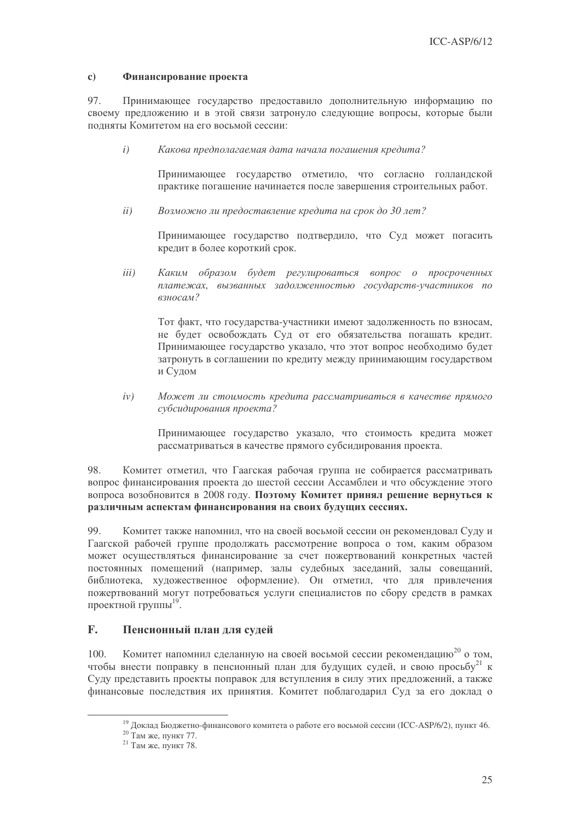#### $\mathbf{c}$ Финансирование проекта

97. Принимающее государство предоставило дополнительную информацию по своему предложению и в этой связи затронуло следующие вопросы, которые были полняты Комитетом на его восьмой сессии:

 $\overline{i}$ ) Какова предполагаемая дата начала погашения кредита?

> Принимающее государство отметило, что согласно голландской практике погашение начинается после завершения строительных работ.

Возможно ли предоставление кредита на срок до 30 лет?  $ii)$ 

> Принимающее государство подтвердило, что Суд может погасить кредит в более короткий срок.

 $iii)$ Каким образом будет регулироваться вопрос о просроченных платежах, вызванных задолженностью государств-участников по взносам?

Тот факт, что государства-участники имеют задолженность по взносам, не будет освобождать Суд от его обязательства погашать кредит. Принимающее государство указало, что этот вопрос необходимо будет затронуть в соглашении по кредиту между принимающим государством и Судом

Может ли стоимость кредита рассматриваться в качестве прямого  $iv)$ субсидирования проекта?

Принимающее государство указало, что стоимость кредита может рассматриваться в качестве прямого субсидирования проекта.

98. Комитет отметил, что Гаагская рабочая группа не собирается рассматривать вопрос финансирования проекта до шестой сессии Ассамблеи и что обсуждение этого вопроса возобновится в 2008 году. Поэтому Комитет принял решение вернуться к различным аспектам финансирования на своих будущих сессиях.

99. Комитет также напомнил, что на своей восьмой сессии он рекомендовал Суду и Гаагской рабочей группе продолжать рассмотрение вопроса о том, каким образом может осуществляться финансирование за счет пожертвований конкретных частей постоянных помещений (например, залы судебных заседаний, залы совещаний, библиотека, художественное оформление). Он отметил, что для привлечения пожертвований могут потребоваться услуги специалистов по сбору средств в рамках проектной группы<sup>19</sup>.

#### $\mathbf{F}$ . Пенсионный план для судей

Комитет напомнил сделанную на своей восьмой сессии рекомендацию<sup>20</sup> о том. 100. чтобы внести поправку в пенсионный план для будущих судей, и свою просьбу<sup>21</sup> к Суду представить проекты поправок для вступления в силу этих предложений, а также финансовые последствия их принятия. Комитет поблагодарил Суд за его доклад о

<sup>&</sup>lt;sup>19</sup> Доклад Бюджетно-финансового комитета о работе его восьмой сессии (ICC-ASP/6/2), пункт 46.

<sup>&</sup>lt;sup>20</sup> Там же, пункт 77.

<sup>&</sup>lt;sup>21</sup> Там же, пункт 78.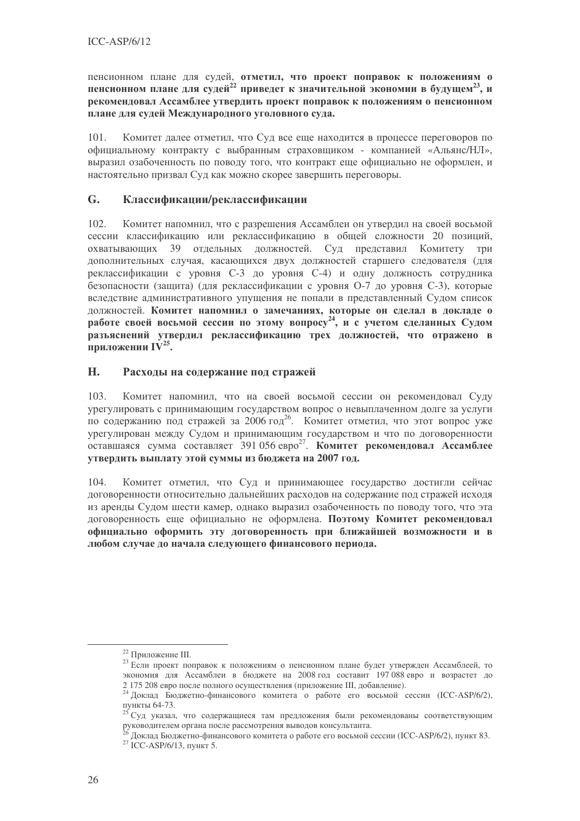пенсионном плане для судей, отметил, что проект поправок к положениям о пенсионном плане для судей<sup>22</sup> приведет к значительной экономии в будущем<sup>23</sup>, и рекомендовал Ассамблее утвердить проект поправок к положениям о пенсионном плане для судей Международного уголовного суда.

101. Комитет далее отметил, что Суд все еще находится в процессе переговоров по официальному контракту с выбранным страховщиком - компанией «Альянс/НЛ», выразил озабоченность по поводу того, что контракт еще официально не оформлен, и настоятельно призвал Суд как можно скорее завершить переговоры.

#### $G<sub>r</sub>$ Классификации/реклассификации

102. Комитет напомнил, что с разрешения Ассамблеи он утвердил на своей восьмой сессии классификацию или реклассификацию в общей сложности 20 позиций, охватывающих 39 отдельных должностей. Суд представил Комитету **TDH** дополнительных случая, касающихся двух должностей старшего следователя (для реклассификации с уровня С-3 до уровня С-4) и одну должность сотрудника безопасности (защита) (для реклассификации с уровня О-7 до уровня С-3), которые вследствие административного упущения не попали в представленный Судом список должностей. Комитет напомнил о замечаниях, которые он сделал в докладе о работе своей восьмой сессии по этому вопросу<sup>24</sup>, и с учетом сделанных Судом разъяснений утвердил реклассификацию трех должностей, что отражено в приложении IV<sup>25</sup>.

#### H. Расходы на содержание под стражей

Комитет напомнил, что на своей восьмой сессии он рекомендовал Суду 103. урегулировать с принимающим государством вопрос о невыплаченном долге за услуги по содержанию под стражей за 2006 год<sup>26</sup>. Комитет отметил, что этот вопрос уже урегулирован между Судом и принимающим государством и что по договоренности оставшаяся сумма составляет 391 056 евро<sup>27</sup>. **Комитет рекомендовал Ассамблее** утвердить выплату этой суммы из бюджета на 2007 год.

104. Комитет отметил, что Суд и принимающее государство достигли сейчас договоренности относительно дальнейших расходов на содержание под стражей исходя из аренды Судом шести камер, однако выразил озабоченность по поводу того, что эта договоренность еще официально не оформлена. Поэтому Комитет рекомендовал официально оформить эту договоренность при ближайшей возможности и в любом случае до начала следующего финансового периода.

<sup>&</sup>lt;sup>22</sup> Приложение III.

<sup>&</sup>lt;sup>23</sup> Если проект поправок к положениям о пенсионном плане будет утвержден Ассамблеей, то экономия для Ассамблеи в бюджете на 2008 год составит 197 088 евро и возрастет до 2 175 208 евро после полного осуществления (приложение III, добавление).

<sup>&</sup>lt;sup>24</sup> Доклад Бюджетно-финансового комитета о работе его восьмой сессии (ICC-ASP/6/2), пункты 64-73.

<sup>&</sup>lt;sup>25</sup> Суд указал, что содержащиеся там предложения были рекомендованы соответствующим руководителем органа после рассмотрения выводов консультанта.

Доклад Бюджетно-финансового комитета о работе его восьмой сессии (ICC-ASP/6/2), пункт 83.

<sup>&</sup>lt;sup>27</sup> ICC-ASP/6/13, пункт 5.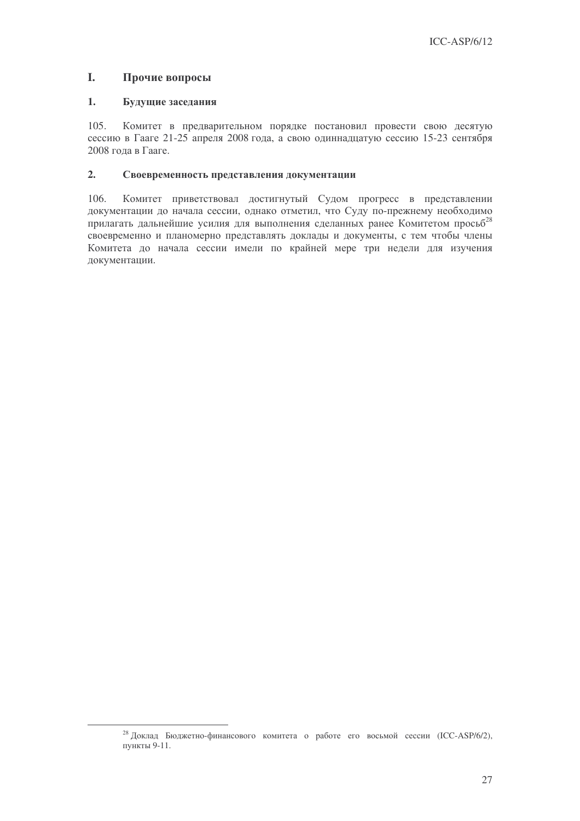#### L. Прочие вопросы

#### $1.$ Будущие заседания

 $105.$ Комитет в предварительном порядке постановил провести свою десятую сессию в Гааге 21-25 апреля 2008 года, а свою одиннадцатую сессию 15-23 сентября 2008 года в Гааге.

#### $2.$ Своевременность представления документации

106. Комитет приветствовал достигнутый Судом прогресс в представлении документации до начала сессии, однако отметил, что Суду по-прежнему необходимо прилагать дальнейшие усилия для выполнения сделанных ранее Комитетом просьб<sup>28</sup> своевременно и планомерно представлять доклады и документы, с тем чтобы члены Комитета до начала сессии имели по крайней мере три недели для изучения документации.

<sup>&</sup>lt;sup>28</sup> Доклад Бюджетно-финансового комитета о работе его восьмой сессии (ICC-ASP/6/2), пункты 9-11.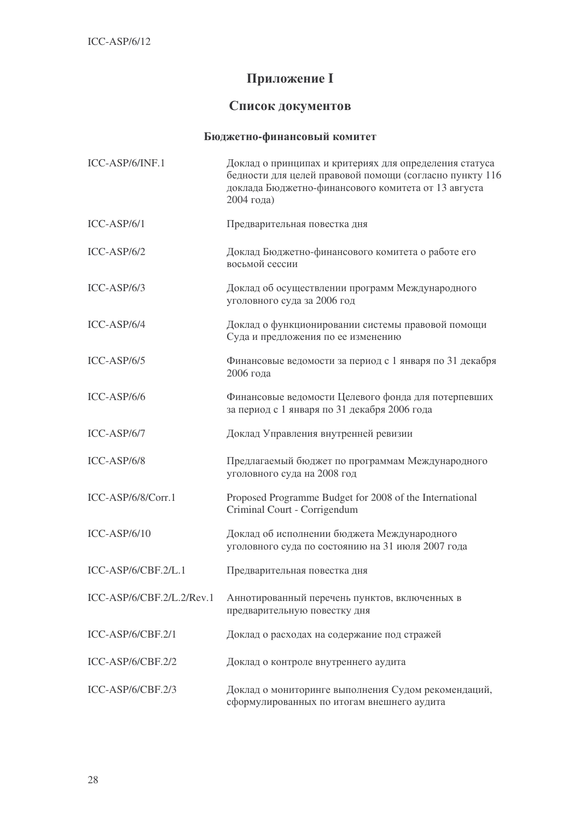# Приложение I

## Список документов

## **Бюджетно-финансовый комитет**

| ICC-ASP/6/INF.1           | Доклад о принципах и критериях для определения статуса<br>бедности для целей правовой помощи (согласно пункту 116<br>доклада Бюджетно-финансового комитета от 13 августа<br>2004 года) |
|---------------------------|----------------------------------------------------------------------------------------------------------------------------------------------------------------------------------------|
| $ICC-ASP/6/1$             | Предварительная повестка дня                                                                                                                                                           |
| $ICC-ASP/6/2$             | Доклад Бюджетно-финансового комитета о работе его<br>восьмой сессии                                                                                                                    |
| $ICC-ASP/6/3$             | Доклад об осуществлении программ Международного<br>уголовного суда за 2006 год                                                                                                         |
| ICC-ASP/6/4               | Доклад о функционировании системы правовой помощи<br>Суда и предложения по ее изменению                                                                                                |
| $ICC-ASP/6/5$             | Финансовые ведомости за период с 1 января по 31 декабря<br>2006 года                                                                                                                   |
| ICC-ASP/6/6               | Финансовые ведомости Целевого фонда для потерпевших<br>за период с 1 января по 31 декабря 2006 года                                                                                    |
| ICC-ASP/6/7               | Доклад Управления внутренней ревизии                                                                                                                                                   |
| ICC-ASP/6/8               | Предлагаемый бюджет по программам Международного<br>уголовного суда на 2008 год                                                                                                        |
| ICC-ASP/6/8/Corr.1        | Proposed Programme Budget for 2008 of the International<br>Criminal Court - Corrigendum                                                                                                |
| $ICC-ASP/6/10$            | Доклад об исполнении бюджета Международного<br>уголовного суда по состоянию на 31 июля 2007 года                                                                                       |
| ICC-ASP/6/CBF.2/L.1       | Предварительная повестка дня                                                                                                                                                           |
| ICC-ASP/6/CBF.2/L.2/Rev.1 | Аннотированный перечень пунктов, включенных в<br>предварительную повестку дня                                                                                                          |
| ICC-ASP/6/CBF.2/1         | Доклад о расходах на содержание под стражей                                                                                                                                            |
| ICC-ASP/6/CBF.2/2         | Доклад о контроле внутреннего аудита                                                                                                                                                   |
| ICC-ASP/6/CBF.2/3         | Доклад о мониторинге выполнения Судом рекомендаций,<br>сформулированных по итогам внешнего аудита                                                                                      |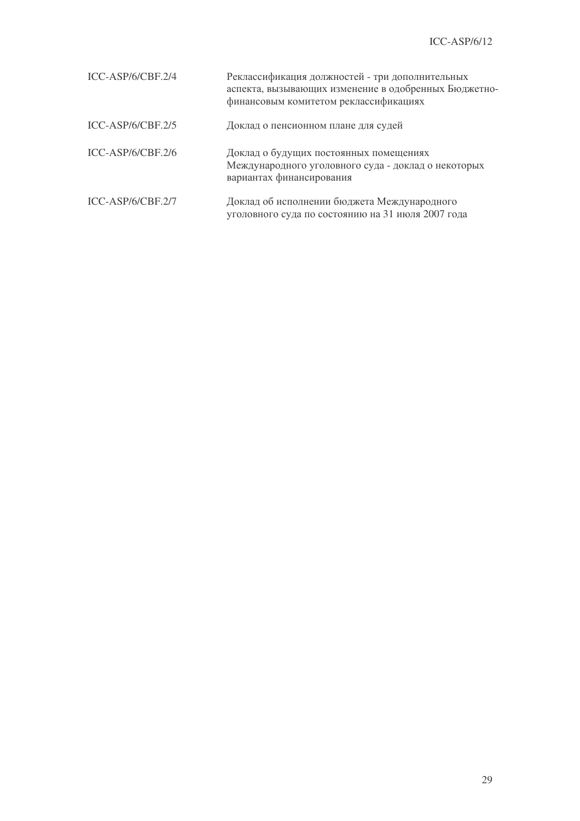| ICC-ASP/6/CBF.2/4 | Реклассификация должностей - три дополнительных<br>аспекта, вызывающих изменение в одобренных Бюджетно-<br>финансовым комитетом реклассификациях |
|-------------------|--------------------------------------------------------------------------------------------------------------------------------------------------|
| ICC-ASP/6/CBF.2/5 | Доклад о пенсионном плане для судей                                                                                                              |
| ICC-ASP/6/CBF.2/6 | Доклад о будущих постоянных помещениях<br>Международного уголовного суда - доклад о некоторых<br>вариантах финансирования                        |
| ICC-ASP/6/CBF.2/7 | Доклад об исполнении бюджета Международного<br>уголовного суда по состоянию на 31 июля 2007 года                                                 |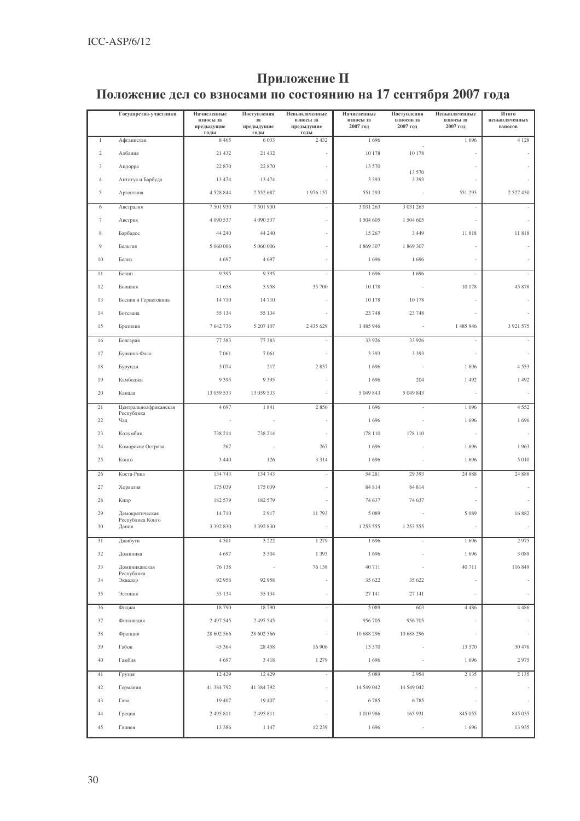# Приложение II

## Положение дел со взносами по состоянию на 17 сентября 2007 года

|                | Государства-участники               | Начисленные<br>взносы за<br>предыдущие<br>годы | Поступления<br>3a<br>предыдущие<br>годы | Невыплаченные<br>взносы за<br>предыдущие<br>годы | Начисленные<br>взносы за<br>2007 год | Поступления<br>взносов за<br>2007 год | Невыплаченные<br>взносы за<br>2007 год | Итого<br>невыплаченных<br>взносов |
|----------------|-------------------------------------|------------------------------------------------|-----------------------------------------|--------------------------------------------------|--------------------------------------|---------------------------------------|----------------------------------------|-----------------------------------|
| $\mathbf{1}$   | Афганистан                          | 8 4 6 5                                        | 6 0 3 3                                 | 2 4 3 2                                          | 1696                                 |                                       | 1696                                   | 4 1 2 8                           |
| $\overline{c}$ | Албания                             | 21 432                                         | 21 432                                  |                                                  | 10 178                               | 10 178                                |                                        |                                   |
| 3              | Андорра                             | 22 870                                         | 22 870                                  |                                                  | 13 570                               | 13 570                                |                                        | $\overline{\phantom{a}}$          |
| $\overline{4}$ | Антигуа и Барбуда                   | 13 474                                         | 13 474                                  |                                                  | 3 3 9 3                              | 3 3 9 3                               |                                        |                                   |
| 5              | Аргентина                           | 4 5 28 8 44                                    | 2 5 5 2 6 8 7                           | 1976 157                                         | 551 293                              |                                       | 551 293                                | 2 5 2 7 4 5 0                     |
| 6              | Австралия                           | 7 501 930                                      | 7 501 930                               |                                                  | 3 0 3 1 2 6 3                        | 3 0 3 1 2 6 3                         |                                        | ÷,                                |
| 7              | Австрия                             | 4 090 537                                      | 4 090 537                               |                                                  | 1 504 605                            | 1 504 605                             |                                        |                                   |
| 8              | Барбадос                            | 44 240                                         | 44 240                                  |                                                  | 15 267                               | 3 4 4 9                               | 11818                                  | 11818                             |
| 9              | Бельгия                             | 5 060 006                                      | 5 060 006                               |                                                  | 1 869 307                            | 1 869 307                             |                                        | $\overline{\phantom{a}}$          |
| $10\,$         | Белиз                               | 4697                                           | 4697                                    |                                                  | 1696                                 | 1696                                  |                                        | ÷                                 |
| 11             | Бенин                               | 9 3 9 5                                        | 9 3 9 5                                 | $\omega$                                         | 1696                                 | 1696                                  | J.                                     | ä,                                |
| 12             | Боливия                             | 41 658                                         | 5958                                    | 35 700                                           | 10 178                               |                                       | 10 178                                 | 45 878                            |
| 13             | Босния и Герцеговина                | 14 710                                         | 14710                                   | $\sim$                                           | 10 178                               | 10 178                                |                                        |                                   |
| 14             | Ботсвана                            | 55 134                                         | 55 134                                  |                                                  | 23 748                               | 23 748                                |                                        |                                   |
| 15             | Бразилия                            | 7 642 736                                      | 5 207 107                               | 2 435 629                                        | 1 485 946                            |                                       | 1 485 946                              | 3 9 21 5 75                       |
| 16             | Болгария                            | 77 383                                         | 77 383                                  | $\overline{\phantom{a}}$                         | 33 9 26                              | 33 9 26                               |                                        | $\sim$                            |
| 17             | Буркина-Фасо                        | 7 0 6 1                                        | 7 0 6 1                                 | $\overline{\phantom{a}}$                         | 3 3 9 3                              | 3 3 9 3                               |                                        | $\bar{z}$                         |
| 18             | Бурунди                             | 3 0 7 4                                        | 217                                     | 2857                                             | 1696                                 |                                       | 1696                                   | 4553                              |
| 19             | Камбоджи                            | 9 3 9 5                                        | 9 3 9 5                                 |                                                  | 1696                                 | 204                                   | 1 4 9 2                                | 1 4 9 2                           |
| 20             | Канада                              | 13 059 533                                     | 13 059 533                              |                                                  | 5 049 843                            | 5 049 843                             |                                        |                                   |
| 21             | Центральноафриканская<br>Республика | 4 6 9 7                                        | 1841                                    | 2856                                             | 1696                                 | $\bar{a}$                             | 1696                                   | 4 5 5 2                           |
| 22             | Чад                                 |                                                |                                         | $\sim$                                           | 1696                                 |                                       | 1696                                   | 1696                              |
| 23             | Колумбия                            | 738 214                                        | 738 214                                 |                                                  | 178 110                              | 178 110                               |                                        | $\sim$                            |
| 24             | Коморские Острова                   | 267                                            |                                         | 267                                              | 1696                                 |                                       | 1696                                   | 1963                              |
| 25             | Конго                               | 3 4 4 0                                        | 126                                     | 3 3 1 4                                          | 1696                                 |                                       | 1696                                   | 5 0 1 0                           |
| 26             | Коста-Рика                          | 134 743                                        | 134 743                                 |                                                  | 54 28 1                              | 29 39 3                               | 24 888                                 | 24 888                            |
| 27             | Хорватия                            | 175 039                                        | 175 039                                 |                                                  | 84 814                               | 84 814                                |                                        |                                   |
| 28             | Кипр                                | 182 579                                        | 182 579                                 |                                                  | 74 637                               | 74 637                                |                                        |                                   |
| 29             | Демократическая<br>Республика Конго | 14 710                                         | 2917                                    | 11793                                            | 5 0 8 9                              |                                       | 5 0 8 9                                | 16882                             |
| 30             | Дания                               | 3 392 830                                      | 3 392 830                               |                                                  | 1 253 555                            | 1 253 555                             |                                        | ä,                                |
| 31             | Джибути                             | 4 5 0 1                                        | 3 2 2 2                                 | 1 279                                            | 1696                                 |                                       | 1696                                   | 2975                              |
| 32             | Доминика                            | 4697                                           | 3 3 0 4                                 | 1 3 9 3                                          | 1696                                 |                                       | 1696                                   | 3 0 8 9                           |
| 33             | Доминиканская<br>Республика         | 76 138                                         |                                         | 76 138                                           | 40711                                |                                       | 40711                                  | 116 849                           |
| 34             | Эквадор                             | 92 958                                         | 92 958                                  | $\sim$                                           | 35 622                               | 35 622                                |                                        |                                   |
| 35             | Эстония                             | 55 134                                         | 55 134                                  | $\sim$                                           | 27 14 1                              | 27 141                                |                                        | ÷                                 |
| 36             | Фиджи                               | 18 790                                         | 18790                                   | $\overline{\phantom{a}}$                         | 5 0 8 9                              | 603                                   | 4 4 8 6                                | 4 4 8 6                           |
| 37             | Финляндия                           | 2 497 545                                      | 2 497 545                               |                                                  | 956 705                              | 956 705                               |                                        |                                   |
| 38             | Франция                             | 28 602 566                                     | 28 602 566                              | ÷,                                               | 10 688 296                           | 10 688 296                            |                                        | ÷                                 |
| 39             | Габон                               | 45 364                                         | 28 45 8                                 | 16 906                                           | 13 570                               |                                       | 13 570                                 | 30 476                            |
| 40             | Гамбия                              | 4 6 9 7                                        | 3418                                    | 1 2 7 9                                          | 1696                                 |                                       | 1696                                   | 2975                              |
| 41             | Грузия                              | 12 4 29                                        | 12 4 29                                 | $\sim$                                           | 5 0 8 9                              | 2954                                  | 2 1 3 5                                | 2 1 3 5                           |
| 42             | Германия                            | 41 384 792                                     | 41 384 792                              |                                                  | 14 549 042                           | 14 549 042                            |                                        | $\sim$                            |
| 43             | Гана                                | 19 407                                         | 19 407                                  | $\sim$                                           | 6785                                 | 6785                                  |                                        |                                   |
| 44             | Греция                              | 2 495 811                                      | 2 495 811                               |                                                  | 1 010 986                            | 165 931                               | 845 055                                | 845 055                           |
| 45             | Гвинея                              | 13 386                                         | 1 1 4 7                                 | 12 239                                           | 1696                                 | $\overline{\phantom{a}}$              | 1696                                   | 13 9 35                           |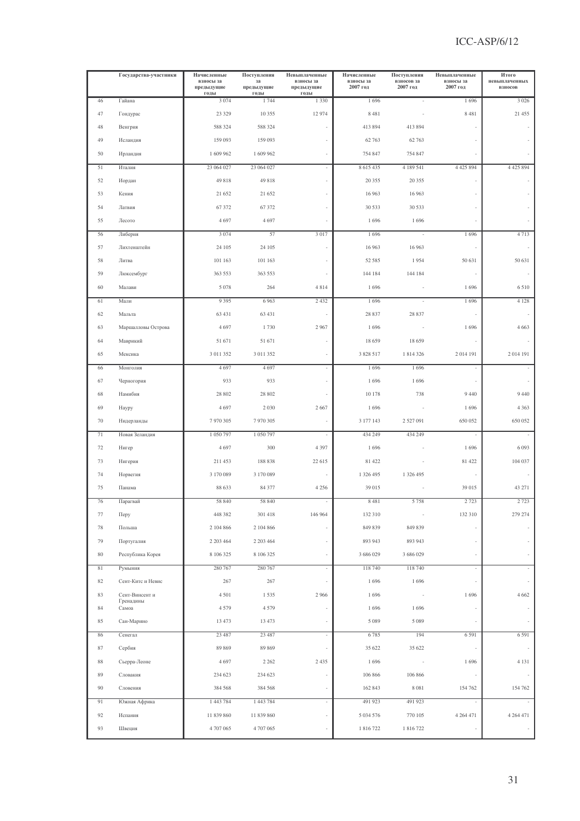|        | Государства-участники       | Начисленные<br>взносы за<br>предыдущие<br>годы | Поступления<br>за<br>предыдущие<br>годы | Невыплаченные<br>взносы за<br>предыдущие<br>годы | Начисленные<br>взносы за<br>2007 год | Поступления<br>взносов за<br>2007 год | Невыплаченные<br>взносы за<br>2007 год | Итого<br>невыплаченных<br>взносов |
|--------|-----------------------------|------------------------------------------------|-----------------------------------------|--------------------------------------------------|--------------------------------------|---------------------------------------|----------------------------------------|-----------------------------------|
| 46     | Гайана                      | 3 0 7 4                                        | 1744                                    | 1 3 3 0                                          | 1696                                 |                                       | 1696                                   | 3 0 2 6                           |
| 47     | Гондурас                    | 23 3 29                                        | 10 355                                  | 12 974                                           | 8 4 8 1                              |                                       | 8 4 8 1                                | 21 455                            |
| 48     | Венгрия                     | 588 324                                        | 588 324                                 |                                                  | 413 894                              | 413 894                               |                                        |                                   |
| 49     | Исландия                    | 159 093                                        | 159 093                                 | ×,                                               | 62 763                               | 62 763                                |                                        |                                   |
| 50     | Ирландия                    | 1 609 962                                      | 1 609 962                               | $\bar{a}$                                        | 754 847                              | 754 847                               |                                        |                                   |
| 51     | Италия                      | 23 064 027                                     | 23 064 027                              | $\omega$                                         | 8 615 435                            | 4 189 541                             | 4 4 2 5 8 9 4                          | 4 4 2 5 8 9 4                     |
| 52     | Иордан                      | 49 818                                         | 49 818                                  |                                                  | 20 355                               | 20 355                                |                                        |                                   |
| 53     | Кения                       | 21 652                                         | 21 652                                  | ä,                                               | 16 963                               | 16 963                                |                                        |                                   |
| 54     | Латвия                      | 67 372                                         | 67 372                                  |                                                  | 30 533                               | 30 533                                |                                        | ÷,                                |
| 55     | Лесото                      | 4697                                           | 4697                                    |                                                  | 1696                                 | 1696                                  |                                        |                                   |
| 56     | Либерия                     | 3 0 7 4                                        | 57                                      | 3 0 1 7                                          | 1696                                 | $\sim$                                | 1696                                   | 4713                              |
| 57     | Лихтенштейн                 | 24 105                                         | 24 105                                  | ä,                                               | 16 963                               | 16 963                                |                                        | ÷                                 |
| 58     | Литва                       | 101 163                                        | 101 163                                 |                                                  | 52 585                               | 1954                                  | 50 631                                 | 50 631                            |
| 59     | Люксембург                  | 363 553                                        | 363 553                                 |                                                  | 144 184                              | 144 184                               |                                        |                                   |
| 60     | Малави                      | 5 0 7 8                                        | 264                                     | 4814                                             | 1696                                 |                                       | 1696                                   | 6 5 1 0                           |
| 61     | Мали                        | 9 3 9 5                                        | 6 9 63                                  | 2 4 3 2                                          | 1696                                 | ÷,                                    | 1696                                   | 4 1 2 8                           |
| 62     | Мальта                      | 63 431                                         | 63 431                                  | ÷                                                | 28 837                               | 28 837                                |                                        |                                   |
| 63     | Маршалловы Острова          | 4697                                           | 1730                                    | 2967                                             | 1696                                 |                                       | 1696                                   | 4 6 6 3                           |
| 64     | Маврикий                    | 51 671                                         | 51 671                                  | ÷                                                | 18 659                               | 18 659                                |                                        | ÷,                                |
| 65     | Мексика                     | 3 011 352                                      | 3 011 352                               |                                                  | 3 828 517                            | 1 814 326                             | 2014 191                               | 2014 191                          |
| 66     | Монголия                    | 4697                                           | 4697                                    | ÷,                                               | 1696                                 | 1696                                  |                                        |                                   |
| 67     | Черногория                  | 933                                            | 933                                     | ÷,                                               | 1696                                 | 1696                                  |                                        |                                   |
| 68     | Намибия                     | 28 802                                         | 28 802                                  |                                                  | 10 178                               | 738                                   | 9 4 4 0                                | 9 4 4 0                           |
| 69     | Haypy                       | 4697                                           | 2 0 3 0                                 | 2667                                             | 1696                                 |                                       | 1696                                   | 4 3 6 3                           |
| 70     | Нидерланды                  | 7 970 305                                      | 7 970 305                               |                                                  | 3 177 143                            | 2 5 2 7 0 9 1                         | 650 052                                | 650 052                           |
| 71     | Новая Зеландия              | 1 050 797                                      | 1 050 797                               | $\sim$                                           | 434 249                              | 434 249                               | $\sim$                                 | $\overline{\phantom{a}}$          |
| 72     | Нигер                       | 4 6 9 7                                        | 300                                     | 4 3 9 7                                          | 1696                                 |                                       | 1696                                   | 6 0 9 3                           |
| 73     | Нигерия                     | 211 453                                        | 188 838                                 | 22 615                                           | 81 422                               |                                       | 81 422                                 | 104 037                           |
| 74     | Норвегия                    | 3 170 089                                      | 3 170 089                               |                                                  | 1 326 495                            | 1 326 495                             |                                        |                                   |
| 75     | Панама                      | 88 633                                         | 84 377                                  | 4 2 5 6                                          | 39 015                               |                                       | 39 015                                 | 43 271                            |
| 76     | Парагвай                    | 58 840                                         | 58 840                                  | $\overline{\phantom{a}}$                         | 8 4 8 1                              | 5758                                  | 2723                                   | 2 7 2 3                           |
| $77\,$ | Перу                        | 448 382                                        | 301 418                                 | 146 964                                          | 132 310                              |                                       | 132 310                                | 279 274                           |
| 78     | Польша                      | 2 104 866                                      | 2 104 866                               |                                                  | 849 839                              | 849 839                               |                                        |                                   |
| 79     | Португалия                  | 2 203 464                                      | 2 203 464                               | ÷,                                               | 893 943                              | 893 943                               |                                        |                                   |
| $80\,$ | Республика Корея            | 8 106 325                                      | 8 106 325                               | ä,                                               | 3 686 029                            | 3 686 029                             |                                        |                                   |
| 81     | Румыния                     | 280 767                                        | 280 767                                 | ÷,                                               | 118 740                              | 118 740                               |                                        | ä,                                |
| 82     | Сент-Китс и Невис           | 267                                            | 267                                     | ÷,                                               | 1696                                 | 1696                                  |                                        | $\bar{a}$                         |
| 83     | Сент-Винсент и<br>Гренадины | 4501                                           | 1535                                    | 2966                                             | 1696                                 |                                       | 1696                                   | 4 6 6 2                           |
| 84     | Самоа                       | 4579                                           | 4579                                    | ÷.                                               | 1696                                 | 1696                                  |                                        |                                   |
| 85     | Сан-Марино                  | 13 473                                         | 13 473                                  | ÷,                                               | 5 0 8 9                              | 5 0 8 9                               |                                        |                                   |
| 86     | Сенегал                     | 23 487                                         | 23 487                                  | $\bar{\mathcal{L}}$                              | 6785                                 | 194                                   | 6 5 9 1                                | 6 5 9 1                           |
| 87     | Сербия                      | 89 869                                         | 89 869                                  | ÷,                                               | 35 622                               | 35 622                                |                                        |                                   |
| 88     | Сьерра-Леоне                | 4 6 9 7                                        | 2 2 6 2                                 | 2 4 3 5                                          | 1696                                 |                                       | 1696                                   | 4 1 3 1                           |
| 89     | Словакия                    | 234 623                                        | 234 623                                 | ä,                                               | 106 866                              | 106 866                               |                                        | ÷,                                |
| 90     | Словения                    | 384 568                                        | 384 568                                 |                                                  | 162 843                              | 8 0 8 1                               | 154 762                                | 154 762                           |
| 91     | Южная Африка                | 1 443 784                                      | 1 443 784                               | ÷,                                               | 491 923                              | 491 923                               |                                        |                                   |
| 92     | Испания                     | 11 839 860                                     | 11 839 860                              | ÷,                                               | 5 0 34 5 76                          | 770 105                               | 4 2 6 4 4 7 1                          | 4 2 6 4 4 7 1                     |
| 93     | Швеция                      | 4 707 065                                      | 4 707 065                               |                                                  | 1816722                              | 1 816 722                             |                                        |                                   |
|        |                             |                                                |                                         |                                                  |                                      |                                       |                                        |                                   |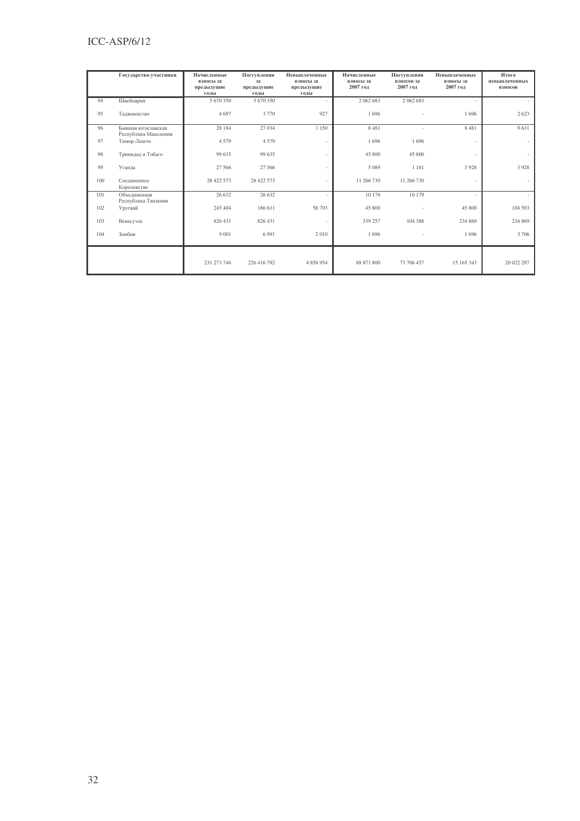## ICC-ASP/6/12

|     | Государства-участники                      | Начисленные<br>взносы за<br>предыдущие<br>годы | Поступления<br>за<br>предыдущие<br>годы | Невыплаченные<br>взносы за<br>предыдущие<br>годы | Начисленные<br>взносы за<br>2007 год | Поступления<br>взносов за<br>2007 год | Невыплаченные<br>взносы за<br>2007 год | Итого<br>невыплаченных<br><b>ВЗНОСОВ</b> |
|-----|--------------------------------------------|------------------------------------------------|-----------------------------------------|--------------------------------------------------|--------------------------------------|---------------------------------------|----------------------------------------|------------------------------------------|
| 94  | Швейцария                                  | 5 670 350                                      | 5 670 350                               |                                                  | 2 062 683                            | 2 062 683                             |                                        |                                          |
| 95  | Таджикистан                                | 4697                                           | 3 7 7 0                                 | 927                                              | 1696                                 |                                       | 1696                                   | 2 6 2 3                                  |
| 96  | Бывшая югославская<br>Республика Македония | 28 184                                         | 27 034                                  | 1 1 5 0                                          | 8 4 8 1                              |                                       | 8481                                   | 9631                                     |
| 97  | Тимор-Лешти                                | 4 5 7 9                                        | 4579                                    | ×,                                               | 1696                                 | 1696                                  |                                        | $\sim$                                   |
| 98  | Тринидад и Тобаго                          | 99 635                                         | 99 635                                  | ×.                                               | 45 800                               | 45 800                                |                                        | $\sim$                                   |
| 99  | Уганда                                     | 27 566                                         | 27 5 66                                 | ×,                                               | 5 0 8 9                              | 1 1 6 1                               | 3928                                   | 3928                                     |
| 100 | Соединенное<br>Королевство                 | 28 422 573                                     | 28 422 573                              |                                                  | 11 266 730                           | 11 266 730                            |                                        |                                          |
| 101 | Объединенная<br>Республика Танзания        | 26 632                                         | 26 632                                  |                                                  | 10 178                               | 10 179                                |                                        |                                          |
| 102 | Уругвай                                    | 245 404                                        | 186 611                                 | 58 793                                           | 45 800                               |                                       | 45 800                                 | 104 593                                  |
| 103 | Венесуэла                                  | 826 431                                        | 826 431                                 | ä,                                               | 339 257                              | 104 388                               | 234 869                                | 234 869                                  |
| 104 | Замбия                                     | 9 0 0 1                                        | 6 9 9 1                                 | 2010                                             | 1696                                 |                                       | 1696                                   | 3 7 0 6                                  |
|     |                                            | 231 273 746                                    | 226 416 792                             | 4 856 954                                        | 88 871 800                           | 73 706 457                            | 15 165 343                             | 20 022 297                               |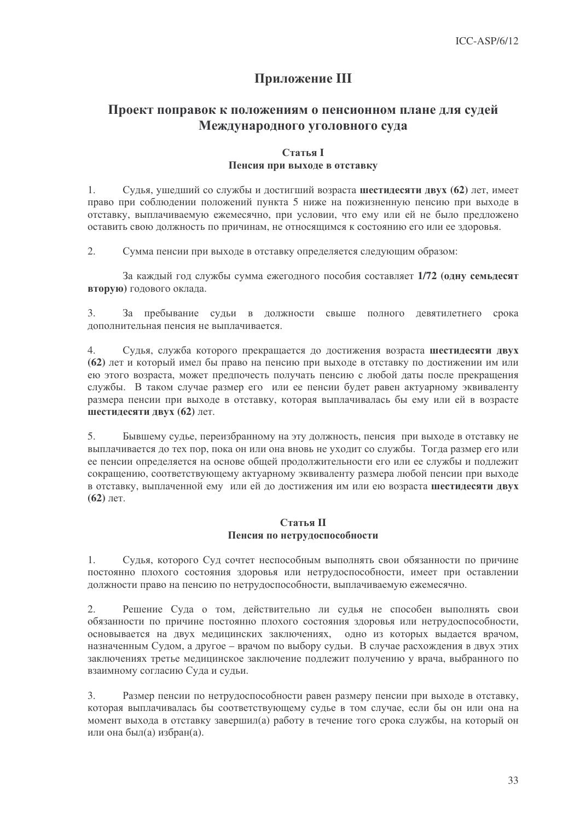## Приложение III

## Проект поправок к положениям о пенсионном плане для судей Международного уголовного суда

### **Статья I** Пенсия при выходе в отставку

 $\mathbf{1}$ Судья, ушедший со службы и достигший возраста шестидесяти двух (62) лет, имеет право при соблюдении положений пункта 5 ниже на пожизненную пенсию при выходе в отставку, выплачиваемую ежемесячно, при условии, что ему или ей не было предложено оставить свою должность по причинам, не относящимся к состоянию его или ее здоровья.

Сумма пенсии при выходе в отставку определяется следующим образом:  $2.$ 

За каждый год службы сумма ежегодного пособия составляет 1/72 (одну семьдесят вторую) годового оклада.

 $\overline{3}$ .  $3a$ пребывание судьи в должности свыше полного девятилетнего срока лополнительная пенсия не выплачивается.

 $\overline{4}$ . Судья, служба которого прекращается до достижения возраста шестидесяти двух (62) лет и который имел бы право на пенсию при выходе в отставку по достижении им или ею этого возраста, может предпочесть получать пенсию с любой даты после прекращения службы. В таком случае размер его или ее пенсии будет равен актуарному эквиваленту размера пенсии при выходе в отставку, которая выплачивалась бы ему или ей в возрасте шестидесяти двух (62) лет.

 $5<sub>1</sub>$ Бывшему судье, переизбранному на эту должность, пенсия при выходе в отставку не выплачивается до тех пор, пока он или она вновь не уходит со службы. Тогда размер его или ее пенсии определяется на основе общей продолжительности его или ее службы и подлежит сокращению, соответствующему актуарному эквиваленту размера любой пенсии при выходе в отставку, выплаченной ему или ей до достижения им или ею возраста шестидесяти двух  $(62)$  лет.

### Статья II Пенсия по нетрудоспособности

Судья, которого Суд сочтет неспособным выполнять свои обязанности по причине 1. постоянно плохого состояния здоровья или нетрудоспособности, имеет при оставлении должности право на пенсию по нетрудоспособности, выплачиваемую ежемесячно.

 $2.$ Решение Суда о том, действительно ли судья не способен выполнять свои обязанности по причине постоянно плохого состояния здоровья или нетрудоспособности, основывается на двух медицинских заключениях, одно из которых выдается врачом, назначенным Судом, а другое – врачом по выбору судьи. В случае расхождения в двух этих заключениях третье медицинское заключение подлежит получению у врача, выбранного по взаимному согласию Суда и судьи.

Размер пенсии по нетрудоспособности равен размеру пенсии при выходе в отставку, 3. которая выплачивалась бы соответствующему судье в том случае, если бы он или она на момент выхода в отставку завершил(а) работу в течение того срока службы, на который он или она был(а) избран(а).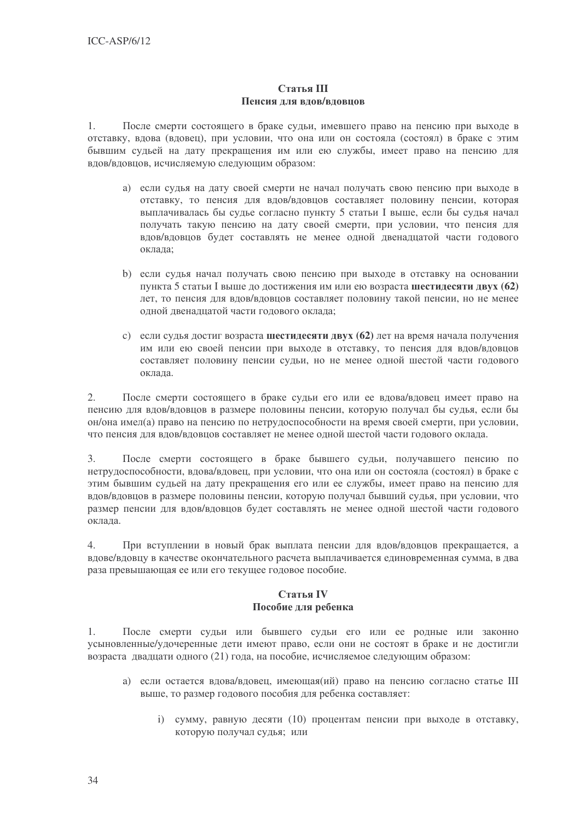### Статья III Пенсия для вдов/вдовцов

После смерти состоящего в браке судьи, имевшего право на пенсию при выходе в  $1.$ отставку, вдова (вдовец), при условии, что она или он состояла (состоял) в браке с этим бывшим судьей на дату прекращения им или ею службы, имеет право на пенсию для вдов/вдовцов, исчисляемую следующим образом:

- а) если судья на дату своей смерти не начал получать свою пенсию при выходе в отставку, то пенсия для вдов/вдовцов составляет половину пенсии, которая выплачивалась бы судье согласно пункту 5 статьи I выше, если бы судья начал получать такую пенсию на дату своей смерти, при условии, что пенсия для вдов/вдовцов будет составлять не менее одной двенадцатой части годового оклада:
- b) если сулья начал получать свою пенсию при выходе в отставку на основании пункта 5 статьи I выше до достижения им или ею возраста шестидесяти двух (62) лет, то пенсия для вдов/вдовцов составляет половину такой пенсии, но не менее олной лвеналнатой части голового оклала:
- с) если судья достиг возраста шестидесяти двух (62) лет на время начала получения им или ею своей пенсии при выходе в отставку, то пенсия для вдов/вдовцов составляет половину пенсии судьи, но не менее одной шестой части годового оклала.

После смерти состоящего в браке судьи его или ее вдова/вдовец имеет право на  $2.$ пенсию для вдов/вдовцов в размере половины пенсии, которую получал бы судья, если бы он/она имел(а) право на пенсию по нетрудоспособности на время своей смерти, при условии, что пенсия для вдов/вдовцов составляет не менее одной шестой части годового оклада.

После смерти состоящего в браке бывшего судьи, получавшего пенсию по  $3.$ нетрудоспособности, вдова/вдовец, при условии, что она или он состояла (состоял) в браке с этим бывшим судьей на дату прекращения его или ее службы, имеет право на пенсию для вдов/вдовцов в размере половины пенсии, которую получал бывший судья, при условии, что размер пенсии для вдов/вдовцов будет составлять не менее одной шестой части годового оклала.

 $4.$ При вступлении в новый брак выплата пенсии для вдов/вдовцов прекращается, а вдове/вдовцу в качестве окончательного расчета выплачивается единовременная сумма, в два раза превышающая ее или его текущее годовое пособие.

### Статья IV Пособие для ребенка

1. После смерти судьи или бывшего судьи его или ее родные или законно усыновленные/удочеренные дети имеют право, если они не состоят в браке и не достигли возраста двадцати одного (21) года, на пособие, исчисляемое следующим образом:

- а) если остается вдова/вдовец, имеющая(ий) право на пенсию согласно статье III выше, то размер годового пособия для ребенка составляет:
	- і) сумму, равную десяти (10) процентам пенсии при выходе в отставку, которую получал сулья: или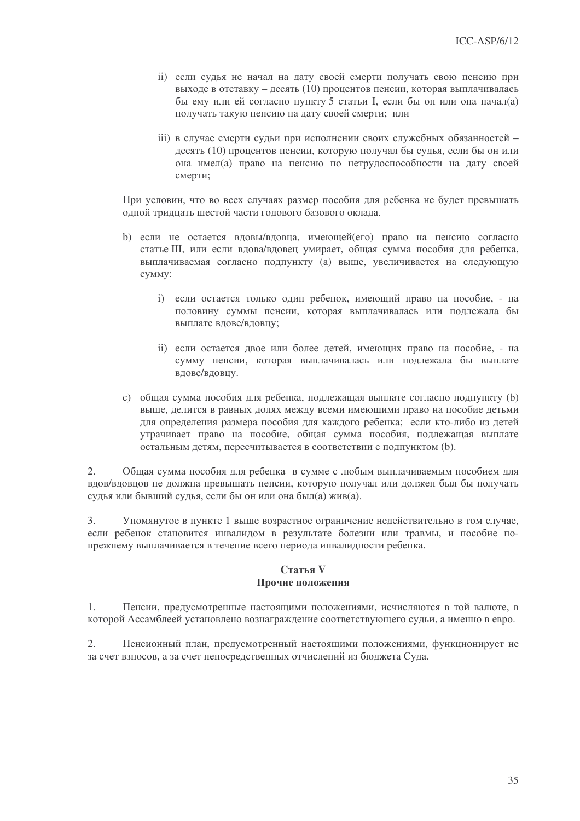- ii) если судья не начал на дату своей смерти получать свою пенсию при выходе в отставку - десять (10) процентов пенсии, которая выплачивалась бы ему или ей согласно пункту 5 статьи I, если бы он или она начал(а) получать такую пенсию на дату своей смерти; или
- iii) в случае смерти судьи при исполнении своих служебных обязанностей десять (10) процентов пенсии, которую получал бы судья, если бы он или она имел(а) право на пенсию по нетрудоспособности на дату своей смерти;

При условии, что во всех случаях размер пособия для ребенка не будет превышать одной тридцать шестой части годового базового оклада.

- b) если не остается вдовы/вдовца, имеющей(его) право на пенсию согласно статье III, или если вдова/вдовец умирает, общая сумма пособия для ребенка, выплачиваемая согласно подпункту (а) выше, увеличивается на следующую CVMMV:
	- i) если остается только один ребенок, имеющий право на пособие, на половину суммы пенсии, которая выплачивалась или подлежала бы выплате вдове/вдовцу;
	- іі) если остается двое или более детей, имеющих право на пособие, на сумму пенсии, которая выплачивалась или подлежала бы выплате влове/вловиу.
- c) общая сумма пособия для ребенка, подлежащая выплате согласно подпункту (b) выше, делится в равных долях между всеми имеющими право на пособие детьми для определения размера пособия для каждого ребенка; если кто-либо из детей утрачивает право на пособие, общая сумма пособия, подлежащая выплате остальным детям, пересчитывается в соответствии с подпунктом (b).

 $2.$ Общая сумма пособия для ребенка в сумме с любым выплачиваемым пособием для вдов/вдовцов не должна превышать пенсии, которую получал или должен был бы получать судья или бывший судья, если бы он или она был(а) жив(а).

Упомянутое в пункте 1 выше возрастное ограничение недействительно в том случае,  $3.$ если ребенок становится инвалидом в результате болезни или травмы, и пособие попрежнему выплачивается в течение всего периода инвалидности ребенка.

### Статья V Прочие положения

Пенсии, предусмотренные настоящими положениями, исчисляются в той валюте, в  $\mathbf{1}$ . которой Ассамблеей установлено вознаграждение соответствующего судьи, а именно в евро.

 $2.$ Пенсионный план, предусмотренный настоящими положениями, функционирует не за счет взносов, а за счет непосредственных отчислений из бюджета Суда.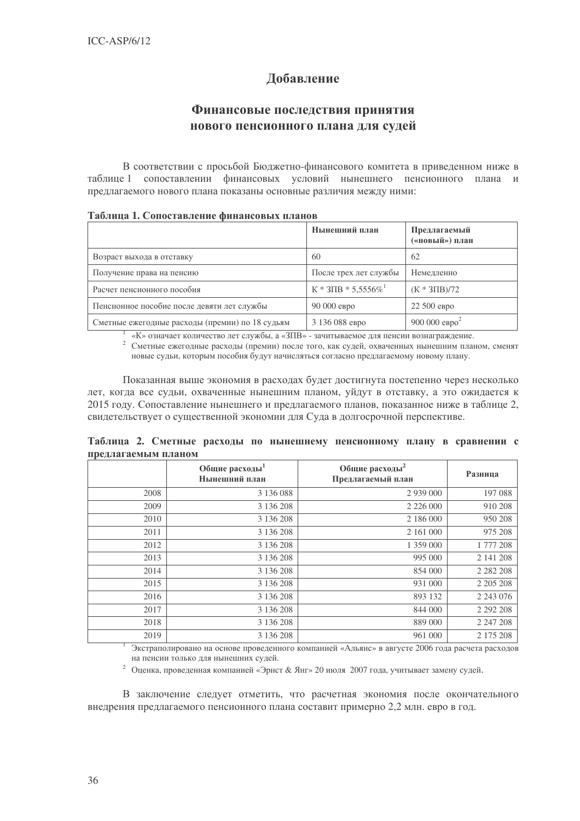## Добавление

## Финансовые последствия принятия нового пенсионного плана для судей

В соответствии с просьбой Бюджетно-финансового комитета в приведенном ниже в таблице 1 сопоставлении финансовых условий нынешнего пенсионного плана и предлагаемого нового плана показаны основные различия между ними:

|                                                 | Нынешний план                        | Предлагаемый<br>(«новый») план |
|-------------------------------------------------|--------------------------------------|--------------------------------|
| Возраст выхода в отставку                       | 60                                   | 62                             |
| Получение права на пенсию                       | После трех лет службы                | Немедленно                     |
| Расчет пенсионного пособия                      | $K * 3\Pi B * 5,5556\%$ <sup>1</sup> | $(K * 3\Pi B)/72$              |
| Пенсионное пособие после девяти лет службы      | $90000$ евро                         | 22 500 евро                    |
| Сметные ежегодные расходы (премии) по 18 судьям | 3 136 088 евро                       | 900 000 евро <sup>2</sup>      |

### To www. 1 Concern round dunqueon in whome

«К» означает количество лет службы, а «ЗПВ» - зачитываемое для пенсии вознаграждение.

<sup>2</sup> Сметные ежегодные расходы (премии) после того, как судей, охваченных нынешним планом, сменят новые судьи, которым пособия будут начисляться согласно предлагаемому новому плану.

Показанная выше экономия в расходах будет достигнута постепенно через несколько лет, когда все судьи, охваченные нынешним планом, уйдут в отставку, а это ожидается к 2015 году. Сопоставление нынешнего и предлагаемого планов, показанное ниже в таблице 2, свидетельствует о существенной экономии для Суда в долгосрочной перспективе.

|  |                     |  | Таблица 2. Сметные расходы по нынешнему пенсионному плану в сравнении с |  |  |
|--|---------------------|--|-------------------------------------------------------------------------|--|--|
|  | предлагаемым планом |  |                                                                         |  |  |

|      | Общие расходы <sup>1</sup><br>Нынешний план | Общие расходы <sup>2</sup><br>Предлагаемый план | Разница       |
|------|---------------------------------------------|-------------------------------------------------|---------------|
| 2008 | 3 136 088                                   | 2 9 3 9 0 0 0 0                                 | 197 088       |
| 2009 | 3 136 208                                   |                                                 | 910 208       |
| 2010 | 3 136 208                                   | 2 186 000                                       | 950 208       |
| 2011 | 3 136 208                                   | 2 161 000                                       | 975 208       |
| 2012 | 3 136 208                                   | 1 359 000                                       | 1 777 208     |
| 2013 | 3 136 208                                   | 995 000                                         | 2 141 208     |
| 2014 | 3 136 208                                   | 854 000                                         | 2 2 8 2 2 0 8 |
| 2015 | 3 136 208                                   | 931 000                                         | 2 2 0 5 2 0 8 |
| 2016 | 3 136 208                                   | 893 132                                         | 2 2 4 3 0 7 6 |
| 2017 | 3 136 208                                   | 844 000                                         | 2 2 9 2 2 0 8 |
| 2018 | 3 136 208                                   | 889 000                                         | 2 247 208     |
| 2019 | 3 136 208                                   | 961 000                                         | 2 175 208     |

<sup>1</sup> Экстраполировано на основе проведенного компанией «Альянс» в августе 2006 года расчета расходов на пенсии только для нынешних судей.

 $^2$ Оценка, проведенная компанией «Эрнст & Янг» 20 июля 2007 года, учитывает замену судей.

В заключение следует отметить, что расчетная экономия после окончательного внедрения предлагаемого пенсионного плана составит примерно 2,2 млн. евро в год.